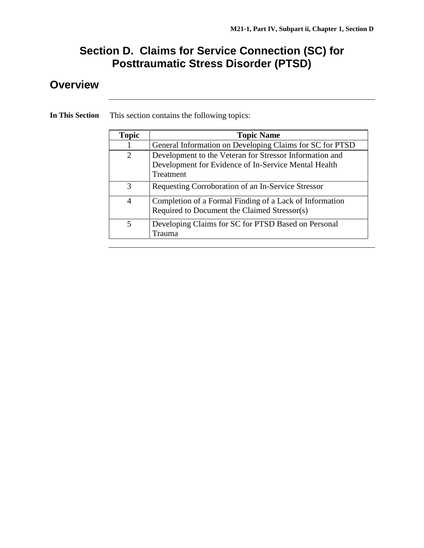## **Section D. Claims for Service Connection (SC) for Posttraumatic Stress Disorder (PTSD)**

## **Overview**

| <b>Topic</b>             | <b>Topic Name</b>                                                                                                            |
|--------------------------|------------------------------------------------------------------------------------------------------------------------------|
|                          | General Information on Developing Claims for SC for PTSD                                                                     |
| 2                        | Development to the Veteran for Stressor Information and<br>Development for Evidence of In-Service Mental Health<br>Treatment |
| $\mathcal{R}$            | Requesting Corroboration of an In-Service Stressor                                                                           |
| $\overline{4}$           | Completion of a Formal Finding of a Lack of Information<br>Required to Document the Claimed Stressor(s)                      |
| $\overline{\mathcal{L}}$ | Developing Claims for SC for PTSD Based on Personal<br>Trauma                                                                |

**In This Section** This section contains the following topics: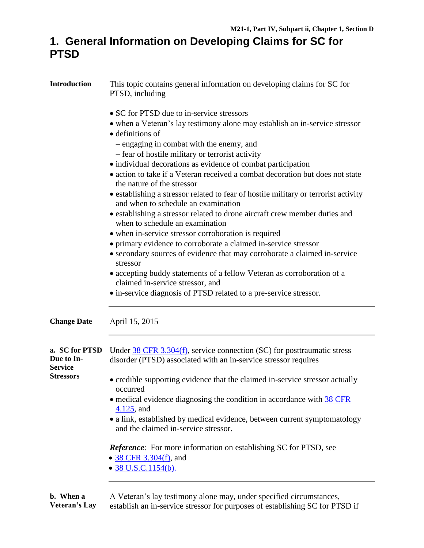## **1. General Information on Developing Claims for SC for PTSD**

| <b>Introduction</b>                            | This topic contains general information on developing claims for SC for<br>PTSD, including                                                           |  |  |
|------------------------------------------------|------------------------------------------------------------------------------------------------------------------------------------------------------|--|--|
|                                                | • SC for PTSD due to in-service stressors<br>• when a Veteran's lay testimony alone may establish an in-service stressor<br>$\bullet$ definitions of |  |  |
|                                                | - engaging in combat with the enemy, and                                                                                                             |  |  |
|                                                | - fear of hostile military or terrorist activity                                                                                                     |  |  |
|                                                | • individual decorations as evidence of combat participation                                                                                         |  |  |
|                                                | • action to take if a Veteran received a combat decoration but does not state<br>the nature of the stressor                                          |  |  |
|                                                | • establishing a stressor related to fear of hostile military or terrorist activity<br>and when to schedule an examination                           |  |  |
|                                                | • establishing a stressor related to drone aircraft crew member duties and<br>when to schedule an examination                                        |  |  |
|                                                | • when in-service stressor corroboration is required                                                                                                 |  |  |
|                                                | • primary evidence to corroborate a claimed in-service stressor                                                                                      |  |  |
|                                                | • secondary sources of evidence that may corroborate a claimed in-service<br>stressor                                                                |  |  |
|                                                | • accepting buddy statements of a fellow Veteran as corroboration of a<br>claimed in-service stressor, and                                           |  |  |
|                                                | • in-service diagnosis of PTSD related to a pre-service stressor.                                                                                    |  |  |
| <b>Change Date</b>                             | April 15, 2015                                                                                                                                       |  |  |
| a. SC for PTSD<br>Due to In-<br><b>Service</b> | Under $38$ CFR 3.304(f), service connection (SC) for posttraumatic stress<br>disorder (PTSD) associated with an in-service stressor requires         |  |  |
| <b>Stressors</b>                               | • credible supporting evidence that the claimed in-service stressor actually<br>occurred                                                             |  |  |
|                                                | • medical evidence diagnosing the condition in accordance with 38 CFR<br>$4.125$ , and                                                               |  |  |
|                                                | • a link, established by medical evidence, between current symptomatology<br>and the claimed in-service stressor.                                    |  |  |
|                                                | <i>Reference</i> : For more information on establishing SC for PTSD, see<br>• 38 CFR 3.304(f), and                                                   |  |  |
|                                                | $\bullet$ 38 U.S.C.1154(b).                                                                                                                          |  |  |
| h Whon a                                       | A Veteron's lay testimony alone may under specified circumstances                                                                                    |  |  |

**b. When a Veteran's Lay** establish an in-service stressor for purposes of establishing SC for PTSD if A Veteran's lay testimony alone may, under specified circumstances,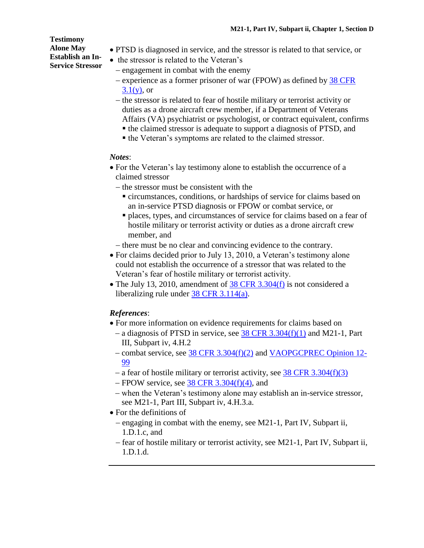**Testimony Alone May Establish an In-Service Stressor**

- PTSD is diagnosed in service, and the stressor is related to that service, or
- the stressor is related to the Veteran's
- engagement in combat with the enemy
- experience as a former prisoner of war (FPOW) as defined by [38 CFR](http://www.ecfr.gov/cgi-bin/text-idx?SID=fa147f1fcb9203350440f9242f1b8e27&node=se38.1.3_11&rgn=div8)  $3.1(y)$ , or
- the stressor is related to fear of hostile military or terrorist activity or duties as a drone aircraft crew member, if a Department of Veterans Affairs (VA) psychiatrist or psychologist, or contract equivalent, confirms
	- the claimed stressor is adequate to support a diagnosis of PTSD, and
	- the Veteran's symptoms are related to the claimed stressor.

#### *Notes*:

- For the Veteran's lay testimony alone to establish the occurrence of a claimed stressor
	- $-$  the stressor must be consistent with the
		- circumstances, conditions, or hardships of service for claims based on an in-service PTSD diagnosis or FPOW or combat service, or
		- places, types, and circumstances of service for claims based on a fear of hostile military or terrorist activity or duties as a drone aircraft crew member, and
	- there must be no clear and convincing evidence to the contrary.
- For claims decided prior to July 13, 2010, a Veteran's testimony alone could not establish the occurrence of a stressor that was related to the Veteran's fear of hostile military or terrorist activity.
- The July 13, 2010, amendment of [38 CFR](http://www.ecfr.gov/cgi-bin/text-idx?SID=fa147f1fcb9203350440f9242f1b8e27&node=se38.1.3_1304&rgn=div8) 3.304(f) is not considered a liberalizing rule under 38 CFR [3.114\(a\).](http://www.ecfr.gov/cgi-bin/text-idx?SID=fa147f1fcb9203350440f9242f1b8e27&node=se38.1.3_1114&rgn=div8)

## *References*:

- For more information on evidence requirements for claims based on
	- a diagnosis of PTSD in service, see  $38$  CFR [3.304\(f\)\(1\)](http://www.ecfr.gov/cgi-bin/text-idx?SID=fa147f1fcb9203350440f9242f1b8e27&node=se38.1.3_1304&rgn=div8) and M21-1, Part III, Subpart iv, 4.H.2
	- combat service, see 38 CFR [3.304\(f\)\(2\)](http://www.ecfr.gov/cgi-bin/text-idx?SID=fa147f1fcb9203350440f9242f1b8e27&node=se38.1.3_1304&rgn=div8) and [VAOPGCPREC Opinion 12-](http://www4.va.gov/ogc/docs/1999/prc12-99.doc) [99](http://www4.va.gov/ogc/docs/1999/prc12-99.doc)
	- a fear of hostile military or terrorist activity, see  $38$  CFR  $3.304(f)(3)$
	- $-$  FPOW service, see 38 CFR [3.304\(f\)\(4\),](http://www.ecfr.gov/cgi-bin/text-idx?SID=fa147f1fcb9203350440f9242f1b8e27&node=se38.1.3_1304&rgn=div8) and
	- when the Veteran's testimony alone may establish an in-service stressor, see M21-1, Part III, Subpart iv, 4.H.3.a.
- For the definitions of
	- engaging in combat with the enemy, see M21-1, Part IV, Subpart ii, 1.D.1.c, and
	- fear of hostile military or terrorist activity, see M21-1, Part IV, Subpart ii, 1.D.1.d.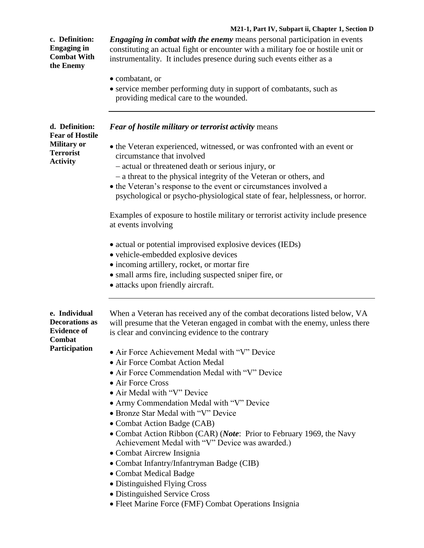### **M21-1, Part IV, Subpart ii, Chapter 1, Section D**

| c. Definition:<br><b>Engaging in</b><br><b>Combat With</b><br>the Enemy                               | <i>Engaging in combat with the enemy</i> means personal participation in events<br>constituting an actual fight or encounter with a military foe or hostile unit or<br>instrumentality. It includes presence during such events either as a<br>• combatant, or<br>• service member performing duty in support of combatants, such as<br>providing medical care to the wounded.                                                                                                                                                                                                                                                                                                                                                                                                                                                                                                       |
|-------------------------------------------------------------------------------------------------------|--------------------------------------------------------------------------------------------------------------------------------------------------------------------------------------------------------------------------------------------------------------------------------------------------------------------------------------------------------------------------------------------------------------------------------------------------------------------------------------------------------------------------------------------------------------------------------------------------------------------------------------------------------------------------------------------------------------------------------------------------------------------------------------------------------------------------------------------------------------------------------------|
| d. Definition:<br><b>Fear of Hostile</b><br><b>Military or</b><br><b>Terrorist</b><br><b>Activity</b> | Fear of hostile military or terrorist activity means<br>• the Veteran experienced, witnessed, or was confronted with an event or<br>circumstance that involved<br>- actual or threatened death or serious injury, or<br>- a threat to the physical integrity of the Veteran or others, and<br>• the Veteran's response to the event or circumstances involved a<br>psychological or psycho-physiological state of fear, helplessness, or horror.<br>Examples of exposure to hostile military or terrorist activity include presence                                                                                                                                                                                                                                                                                                                                                  |
| e. Individual                                                                                         | at events involving<br>• actual or potential improvised explosive devices (IEDs)<br>• vehicle-embedded explosive devices<br>· incoming artillery, rocket, or mortar fire<br>• small arms fire, including suspected sniper fire, or<br>• attacks upon friendly aircraft.                                                                                                                                                                                                                                                                                                                                                                                                                                                                                                                                                                                                              |
| <b>Decorations as</b><br><b>Evidence of</b><br>Combat<br>Participation                                | When a Veteran has received any of the combat decorations listed below, VA<br>will presume that the Veteran engaged in combat with the enemy, unless there<br>is clear and convincing evidence to the contrary<br>• Air Force Achievement Medal with "V" Device<br>• Air Force Combat Action Medal<br>• Air Force Commendation Medal with "V" Device<br>• Air Force Cross<br>• Air Medal with "V" Device<br>• Army Commendation Medal with "V" Device<br>• Bronze Star Medal with "V" Device<br>• Combat Action Badge (CAB)<br>• Combat Action Ribbon (CAR) (Note: Prior to February 1969, the Navy<br>Achievement Medal with "V" Device was awarded.)<br>• Combat Aircrew Insignia<br>• Combat Infantry/Infantryman Badge (CIB)<br>· Combat Medical Badge<br>• Distinguished Flying Cross<br>• Distinguished Service Cross<br>• Fleet Marine Force (FMF) Combat Operations Insignia |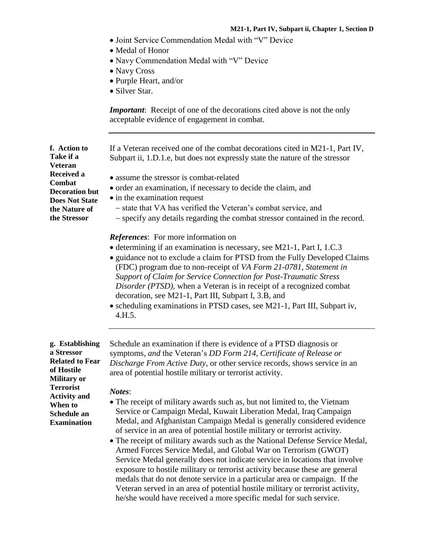- Joint Service Commendation Medal with "V" Device
- Medal of Honor
- Navy Commendation Medal with "V" Device
- Navy Cross
- Purple Heart, and/or
- Silver Star.

*Important*: Receipt of one of the decorations cited above is not the only acceptable evidence of engagement in combat.

If a Veteran received one of the combat decorations cited in M21-1, Part IV, Subpart ii, 1.D.1.e, but does not expressly state the nature of the stressor

- assume the stressor is combat-related
- order an examination, if necessary to decide the claim, and
- in the examination request
	- state that VA has verified the Veteran's combat service, and
	- specify any details regarding the combat stressor contained in the record.

#### *References*: For more information on

- determining if an examination is necessary, see M21-1, Part I, 1.C.3
- guidance not to exclude a claim for PTSD from the Fully Developed Claims (FDC) program due to non-receipt of *VA Form 21-0781, Statement in Support of Claim for Service Connection for Post-Traumatic Stress Disorder (PTSD),* when a Veteran is in receipt of a recognized combat decoration, see M21-1, Part III, Subpart I, 3.B, and
- scheduling examinations in PTSD cases, see M21-1, Part III, Subpart iv, 4.H.5.

**g. Establishing a Stressor Related to Fear of Hostile Military or Terrorist Activity and When to Schedule an Examination**

Schedule an examination if there is evidence of a PTSD diagnosis or symptoms, *and* the Veteran's *DD Form 214, Certificate of Release or Discharge From Active Duty*, or other service records, shows service in an area of potential hostile military or terrorist activity.

#### *Notes*:

- The receipt of military awards such as, but not limited to, the Vietnam Service or Campaign Medal, Kuwait Liberation Medal, Iraq Campaign Medal, and Afghanistan Campaign Medal is generally considered evidence of service in an area of potential hostile military or terrorist activity.
- The receipt of military awards such as the National Defense Service Medal, Armed Forces Service Medal, and Global War on Terrorism (GWOT) Service Medal generally does not indicate service in locations that involve exposure to hostile military or terrorist activity because these are general medals that do not denote service in a particular area or campaign. If the Veteran served in an area of potential hostile military or terrorist activity, he/she would have received a more specific medal for such service.

**f. Action to Take if a Veteran Received a Combat Decoration but Does Not State the Nature of the Stressor**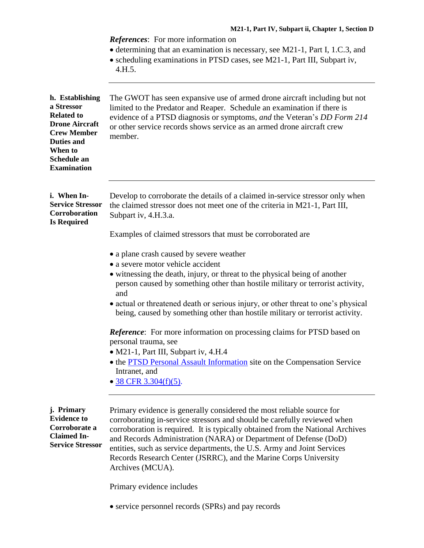|                                                                                                                                                                        | <b>References:</b> For more information on<br>• determining that an examination is necessary, see M21-1, Part I, 1.C.3, and<br>• scheduling examinations in PTSD cases, see M21-1, Part III, Subpart iv,<br>4.H.5.                                                                                                                                                                                                                                                         |
|------------------------------------------------------------------------------------------------------------------------------------------------------------------------|----------------------------------------------------------------------------------------------------------------------------------------------------------------------------------------------------------------------------------------------------------------------------------------------------------------------------------------------------------------------------------------------------------------------------------------------------------------------------|
| h. Establishing<br>a Stressor<br><b>Related to</b><br><b>Drone Aircraft</b><br><b>Crew Member</b><br><b>Duties and</b><br>When to<br>Schedule an<br><b>Examination</b> | The GWOT has seen expansive use of armed drone aircraft including but not<br>limited to the Predator and Reaper. Schedule an examination if there is<br>evidence of a PTSD diagnosis or symptoms, and the Veteran's DD Form 214<br>or other service records shows service as an armed drone aircraft crew<br>member.                                                                                                                                                       |
| i. When In-<br><b>Service Stressor</b><br>Corroboration<br><b>Is Required</b>                                                                                          | Develop to corroborate the details of a claimed in-service stressor only when<br>the claimed stressor does not meet one of the criteria in M21-1, Part III,<br>Subpart iv, 4.H.3.a.                                                                                                                                                                                                                                                                                        |
|                                                                                                                                                                        | Examples of claimed stressors that must be corroborated are                                                                                                                                                                                                                                                                                                                                                                                                                |
|                                                                                                                                                                        | • a plane crash caused by severe weather<br>• a severe motor vehicle accident                                                                                                                                                                                                                                                                                                                                                                                              |
|                                                                                                                                                                        | • witnessing the death, injury, or threat to the physical being of another<br>person caused by something other than hostile military or terrorist activity,<br>and                                                                                                                                                                                                                                                                                                         |
|                                                                                                                                                                        | • actual or threatened death or serious injury, or other threat to one's physical<br>being, caused by something other than hostile military or terrorist activity.                                                                                                                                                                                                                                                                                                         |
|                                                                                                                                                                        | <b>Reference:</b> For more information on processing claims for PTSD based on<br>personal trauma, see                                                                                                                                                                                                                                                                                                                                                                      |
|                                                                                                                                                                        | • M21-1, Part III, Subpart iv, 4.H.4<br>• the PTSD Personal Assault Information site on the Compensation Service<br>Intranet, and<br>$\bullet$ 38 CFR 3.304(f)(5).                                                                                                                                                                                                                                                                                                         |
| j. Primary<br><b>Evidence to</b><br>Corroborate a<br><b>Claimed In-</b><br><b>Service Stressor</b>                                                                     | Primary evidence is generally considered the most reliable source for<br>corroborating in-service stressors and should be carefully reviewed when<br>corroboration is required. It is typically obtained from the National Archives<br>and Records Administration (NARA) or Department of Defense (DoD)<br>entities, such as service departments, the U.S. Army and Joint Services<br>Records Research Center (JSRRC), and the Marine Corps University<br>Archives (MCUA). |

Primary evidence includes

service personnel records (SPRs) and pay records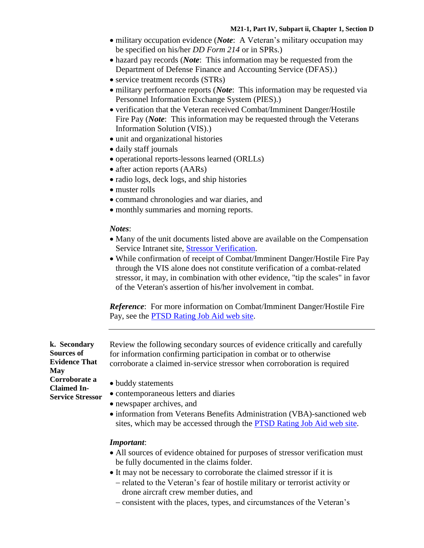- military occupation evidence (*Note*: A Veteran's military occupation may be specified on his/her *DD Form 214* or in SPRs.)
- hazard pay records (*Note*: This information may be requested from the Department of Defense Finance and Accounting Service (DFAS).)
- service treatment records (STRs)
- military performance reports (*Note*: This information may be requested via Personnel Information Exchange System (PIES).)
- verification that the Veteran received Combat/Imminent Danger/Hostile Fire Pay (*Note*: This information may be requested through the Veterans Information Solution (VIS).)
- unit and organizational histories
- daily staff journals
- operational reports-lessons learned (ORLLs)
- after action reports (AARs)
- radio logs, deck logs, and ship histories
- muster rolls
- command chronologies and war diaries, and
- monthly summaries and morning reports.

#### *Notes*:

- Many of the unit documents listed above are available on the Compensation Service Intranet site, **Stressor Verification**.
- While confirmation of receipt of Combat/Imminent Danger/Hostile Fire Pay through the VIS alone does not constitute verification of a combat-related stressor, it may, in combination with other evidence, "tip the scales" in favor of the Veteran's assertion of his/her involvement in combat.

*Reference*: For more information on Combat/Imminent Danger/Hostile Fire Pay, see the [PTSD Rating Job Aid web](http://vbaw.vba.va.gov/bl/21/rating/rat06.htm) site.

**k. Secondary Sources of Evidence That May Corroborate a Claimed In-Service Stressor** Review the following secondary sources of evidence critically and carefully for information confirming participation in combat or to otherwise corroborate a claimed in-service stressor when corroboration is required

- buddy statements
- contemporaneous letters and diaries
- newspaper archives, and
- information from Veterans Benefits Administration (VBA)-sanctioned web sites, which may be accessed through the [PTSD Rating Job Aid web](http://vbaw.vba.va.gov/bl/21/rating/rat06.htm) site.

#### *Important*:

- All sources of evidence obtained for purposes of stressor verification must be fully documented in the claims folder.
- It may not be necessary to corroborate the claimed stressor if it is
	- related to the Veteran's fear of hostile military or terrorist activity or drone aircraft crew member duties, and
	- consistent with the places, types, and circumstances of the Veteran's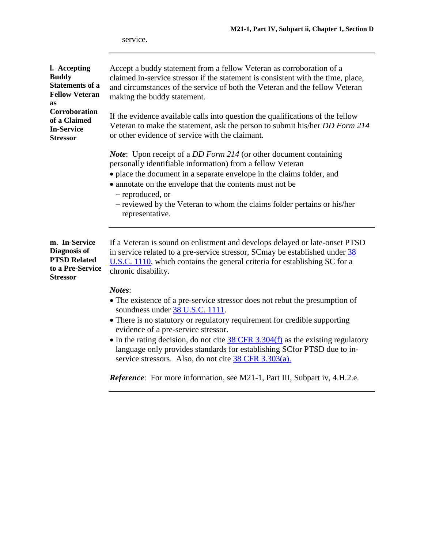service.

| l. Accepting<br><b>Buddy</b><br><b>Statements of a</b><br><b>Fellow Veteran</b><br>as       | Accept a buddy statement from a fellow Veteran as corroboration of a<br>claimed in-service stressor if the statement is consistent with the time, place,<br>and circumstances of the service of both the Veteran and the fellow Veteran<br>making the buddy statement.                                                                                                                                         |  |
|---------------------------------------------------------------------------------------------|----------------------------------------------------------------------------------------------------------------------------------------------------------------------------------------------------------------------------------------------------------------------------------------------------------------------------------------------------------------------------------------------------------------|--|
| Corroboration<br>of a Claimed<br><b>In-Service</b><br><b>Stressor</b>                       | If the evidence available calls into question the qualifications of the fellow<br>Veteran to make the statement, ask the person to submit his/her DD Form 214<br>or other evidence of service with the claimant.                                                                                                                                                                                               |  |
|                                                                                             | <i>Note</i> : Upon receipt of a <i>DD Form 214</i> (or other document containing<br>personally identifiable information) from a fellow Veteran<br>• place the document in a separate envelope in the claims folder, and<br>• annotate on the envelope that the contents must not be<br>- reproduced, or<br>- reviewed by the Veteran to whom the claims folder pertains or his/her<br>representative.          |  |
| m. In-Service<br>Diagnosis of<br><b>PTSD Related</b><br>to a Pre-Service<br><b>Stressor</b> | If a Veteran is sound on enlistment and develops delayed or late-onset PTSD<br>in service related to a pre-service stressor, SC may be established under $\frac{38}{36}$<br>$U.S.C.$ 1110, which contains the general criteria for establishing SC for a<br>chronic disability.                                                                                                                                |  |
|                                                                                             | Notes:<br>• The existence of a pre-service stressor does not rebut the presumption of<br>soundness under 38 U.S.C. 1111.<br>• There is no statutory or regulatory requirement for credible supporting<br>evidence of a pre-service stressor.<br>• In the rating decision, do not cite $38$ CFR 3.304(f) as the existing regulatory<br>language only provides standards for establishing SC for PTSD due to in- |  |

*Reference*: For more information, see M21-1, Part III, Subpart iv, 4.H.2.e.

service stressors. Also, do not cite 38 [CFR 3.303\(a\).](http://www.ecfr.gov/cgi-bin/text-idx?SID=fa147f1fcb9203350440f9242f1b8e27&node=se38.1.3_1303&rgn=div8)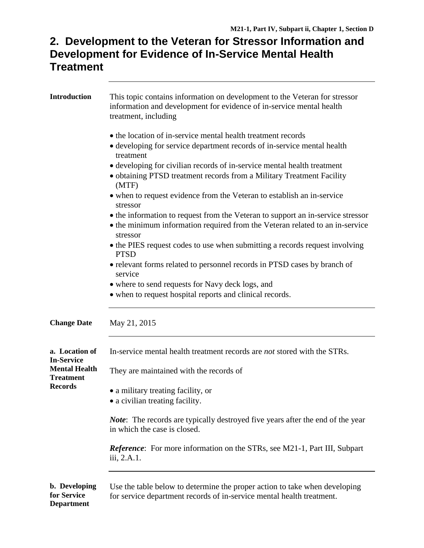## **2. Development to the Veteran for Stressor Information and Development for Evidence of In-Service Mental Health Treatment**

| <b>Introduction</b>                                        | This topic contains information on development to the Veteran for stressor<br>information and development for evidence of in-service mental health<br>treatment, including  |  |  |
|------------------------------------------------------------|-----------------------------------------------------------------------------------------------------------------------------------------------------------------------------|--|--|
|                                                            | • the location of in-service mental health treatment records<br>• developing for service department records of in-service mental health<br>treatment                        |  |  |
|                                                            | • developing for civilian records of in-service mental health treatment<br>• obtaining PTSD treatment records from a Military Treatment Facility<br>(MTF)                   |  |  |
|                                                            | • when to request evidence from the Veteran to establish an in-service<br>stressor                                                                                          |  |  |
|                                                            | • the information to request from the Veteran to support an in-service stressor<br>• the minimum information required from the Veteran related to an in-service<br>stressor |  |  |
|                                                            | • the PIES request codes to use when submitting a records request involving<br><b>PTSD</b>                                                                                  |  |  |
|                                                            | • relevant forms related to personnel records in PTSD cases by branch of<br>service                                                                                         |  |  |
|                                                            | • where to send requests for Navy deck logs, and                                                                                                                            |  |  |
|                                                            | • when to request hospital reports and clinical records.                                                                                                                    |  |  |
| <b>Change Date</b>                                         | May 21, 2015                                                                                                                                                                |  |  |
| a. Location of<br><b>In-Service</b>                        | In-service mental health treatment records are <i>not</i> stored with the STRs.                                                                                             |  |  |
| <b>Mental Health</b><br><b>Treatment</b><br><b>Records</b> | They are maintained with the records of                                                                                                                                     |  |  |
|                                                            | • a military treating facility, or<br>• a civilian treating facility.                                                                                                       |  |  |
|                                                            | <i>Note</i> : The records are typically destroyed five years after the end of the year<br>in which the case is closed.                                                      |  |  |
|                                                            | <i>Reference</i> : For more information on the STRs, see M21-1, Part III, Subpart<br>iii, 2.A.1.                                                                            |  |  |
| b. Developing<br>for Service<br><b>Department</b>          | Use the table below to determine the proper action to take when developing<br>for service department records of in-service mental health treatment.                         |  |  |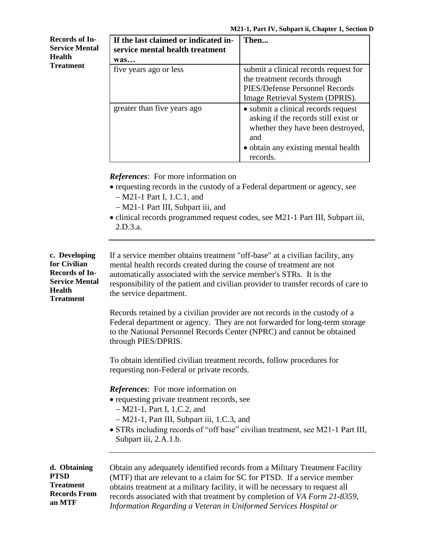| <b>Records of In-</b><br><b>Service Mental</b><br><b>Health</b><br><b>Treatment</b> | If the last claimed or indicated in-<br>service mental health treatment | Then                                                                                                                                                                       |
|-------------------------------------------------------------------------------------|-------------------------------------------------------------------------|----------------------------------------------------------------------------------------------------------------------------------------------------------------------------|
|                                                                                     | was                                                                     |                                                                                                                                                                            |
|                                                                                     | five years ago or less                                                  | submit a clinical records request for<br>the treatment records through<br>PIES/Defense Personnel Records<br>Image Retrieval System (DPRIS).                                |
|                                                                                     | greater than five years ago                                             | • submit a clinical records request<br>asking if the records still exist or<br>whether they have been destroyed,<br>and<br>• obtain any existing mental health<br>records. |

*References*: For more information on

- requesting records in the custody of a Federal department or agency, see M21-1 Part I, 1.C.1, and
	- M21-1 Part III, Subpart iii, and
- clinical records programmed request codes, see M21-1 Part III, Subpart iii, 2.D.3.a.

| c. Developing<br>for Civilian<br><b>Records of In-</b><br><b>Service Mental</b><br><b>Health</b><br><b>Treatment</b> | If a service member obtains treatment "off-base" at a civilian facility, any<br>mental health records created during the course of treatment are not<br>automatically associated with the service member's STRs. It is the<br>responsibility of the patient and civilian provider to transfer records of care to<br>the service department.                                              |  |
|----------------------------------------------------------------------------------------------------------------------|------------------------------------------------------------------------------------------------------------------------------------------------------------------------------------------------------------------------------------------------------------------------------------------------------------------------------------------------------------------------------------------|--|
|                                                                                                                      | Records retained by a civilian provider are not records in the custody of a<br>Federal department or agency. They are not forwarded for long-term storage<br>to the National Personnel Records Center (NPRC) and cannot be obtained<br>through PIES/DPRIS.                                                                                                                               |  |
|                                                                                                                      | To obtain identified civilian treatment records, follow procedures for<br>requesting non-Federal or private records.                                                                                                                                                                                                                                                                     |  |
|                                                                                                                      | <b>References:</b> For more information on<br>• requesting private treatment records, see<br>$-M21-1$ , Part I, 1.C.2, and<br>- M21-1, Part III, Subpart iii, 1.C.3, and<br>• STRs including records of "off base" civilian treatment, see M21-1 Part III,<br>Subpart iii, 2.A.1.b.                                                                                                      |  |
| d. Obtaining<br><b>PTSD</b><br><b>Treatment</b><br><b>Records From</b><br>an MTF                                     | Obtain any adequately identified records from a Military Treatment Facility<br>(MTF) that are relevant to a claim for SC for PTSD. If a service member<br>obtains treatment at a military facility, it will be necessary to request all<br>records associated with that treatment by completion of VA Form 21-8359,<br>Information Regarding a Veteran in Uniformed Services Hospital or |  |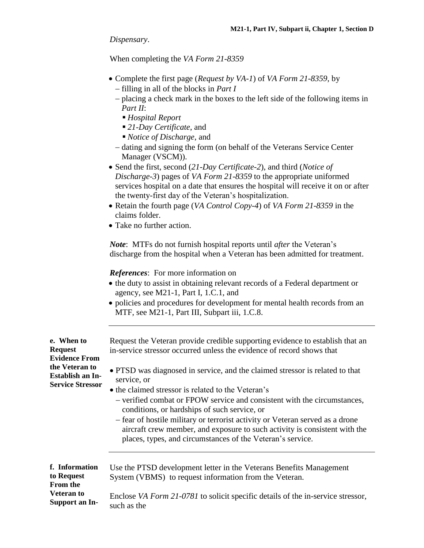*Dispensary*.

When completing the *VA Form 21-8359*

- Complete the first page (*Request by VA-1*) of *VA Form 21-8359*, by filling in all of the blocks in *Part I*
	- placing a check mark in the boxes to the left side of the following items in *Part II*:
		- *Hospital Report*
		- *21-Day Certificate*, and
		- *Notice of Discharge*, and
	- dating and signing the form (on behalf of the Veterans Service Center Manager (VSCM)).
- Send the first, second (*21-Day Certificate-2*), and third (*Notice of Discharge-3*) pages of *VA Form 21-8359* to the appropriate uniformed services hospital on a date that ensures the hospital will receive it on or after the twenty-first day of the Veteran's hospitalization.
- Retain the fourth page (*VA Control Copy-4*) of *VA Form 21-8359* in the claims folder.
- Take no further action.

**e. When to Request** 

**Evidence From the Veteran to Establish an In-Service Stressor** *Note*: MTFs do not furnish hospital reports until *after* the Veteran's discharge from the hospital when a Veteran has been admitted for treatment.

*References*: For more information on

- the duty to assist in obtaining relevant records of a Federal department or agency, see M21-1, Part I, 1.C.1, and
- policies and procedures for development for mental health records from an MTF, see M21-1, Part III, Subpart iii, 1.C.8.

Request the Veteran provide credible supporting evidence to establish that an in-service stressor occurred unless the evidence of record shows that

 PTSD was diagnosed in service, and the claimed stressor is related to that service, or

- the claimed stressor is related to the Veteran's
	- verified combat or FPOW service and consistent with the circumstances, conditions, or hardships of such service, or
	- fear of hostile military or terrorist activity or Veteran served as a drone aircraft crew member, and exposure to such activity is consistent with the places, types, and circumstances of the Veteran's service.

**f. Information to Request From the Veteran to Support an In-**Use the PTSD development letter in the Veterans Benefits Management System (VBMS) to request information from the Veteran. Enclose *VA Form 21-0781* to solicit specific details of the in-service stressor, such as the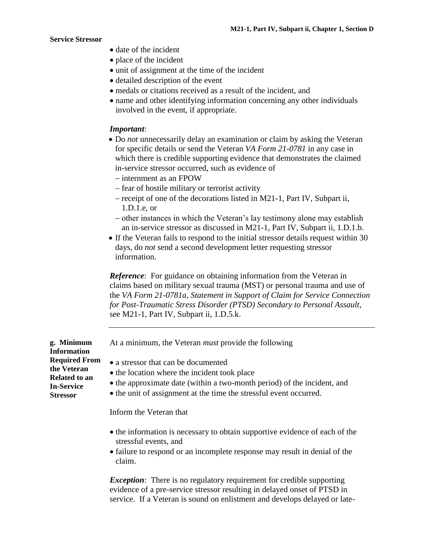- date of the incident
- place of the incident
- unit of assignment at the time of the incident
- detailed description of the event
- medals or citations received as a result of the incident, and
- name and other identifying information concerning any other individuals involved in the event, if appropriate.

#### *Important*:

- Do *not* unnecessarily delay an examination or claim by asking the Veteran for specific details or send the Veteran *VA Form 21-0781* in any case in which there is credible supporting evidence that demonstrates the claimed in-service stressor occurred, such as evidence of
	- internment as an FPOW
	- fear of hostile military or terrorist activity
	- $-$  receipt of one of the decorations listed in M21-1, Part IV, Subpart ii, 1.D.1.e, or
	- other instances in which the Veteran's lay testimony alone may establish an in-service stressor as discussed in M21-1, Part IV, Subpart ii, 1.D.1.b.
- If the Veteran fails to respond to the initial stressor details request within 30 days, do *not* send a second development letter requesting stressor information.

*Reference*: For guidance on obtaining information from the Veteran in claims based on military sexual trauma (MST) or personal trauma and use of the *VA Form 21-0781a*, *Statement in Support of Claim for Service Connection for Post-Traumatic Stress Disorder (PTSD) Secondary to Personal Assault,* see M21-1, Part IV, Subpart ii, 1.D.5.k.

At a minimum, the Veteran *must* provide the following

- a stressor that can be documented
	- the location where the incident took place
	- the approximate date (within a two-month period) of the incident, and
	- the unit of assignment at the time the stressful event occurred.

Inform the Veteran that

- the information is necessary to obtain supportive evidence of each of the stressful events, and
- failure to respond or an incomplete response may result in denial of the claim.

*Exception*: There is no regulatory requirement for credible supporting evidence of a pre-service stressor resulting in delayed onset of PTSD in service. If a Veteran is sound on enlistment and develops delayed or late-

**Information Required From the Veteran Related to an In-Service Stressor**

**g. Minimum**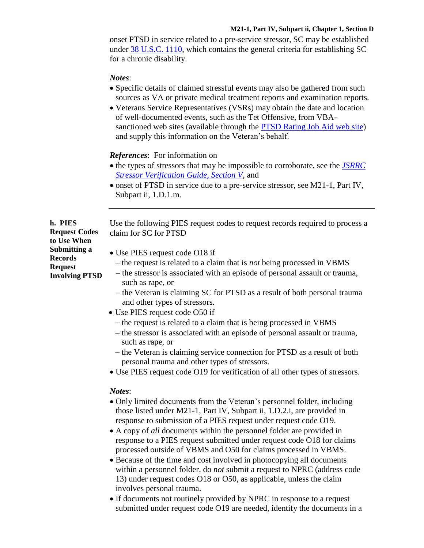#### **M21-1, Part IV, Subpart ii, Chapter 1, Section D**

onset PTSD in service related to a pre-service stressor, SC may be established under [38 U.S.C. 1110,](https://www.law.cornell.edu/uscode/text/38/1110) which contains the general criteria for establishing SC for a chronic disability.

#### *Notes*:

- Specific details of claimed stressful events may also be gathered from such sources as VA or private medical treatment reports and examination reports.
- Veterans Service Representatives (VSRs) may obtain the date and location of well-documented events, such as the Tet Offensive, from VBAsanctioned web sites (available through the [PTSD Rating Job Aid web](http://vbaw.vba.va.gov/bl/21/rating/rat06f.htm) site) and supply this information on the Veteran's behalf.

#### *References*: For information on

- the types of stressors that may be impossible to corroborate, see the *JSRRC [Stressor Verification Guide, Section V](http://vbaw.vba.va.gov/bl/21/publicat/Letters/TrngLtrs/TL04-02A.doc)*, and
- onset of PTSD in service due to a pre-service stressor, see M21-1, Part IV, Subpart ii, 1.D.1.m.

Use the following PIES request codes to request records required to process a claim for SC for PTSD

- Use PIES request code O18 if
	- the request is related to a claim that is *not* being processed in VBMS
	- the stressor is associated with an episode of personal assault or trauma, such as rape, or
	- the Veteran is claiming SC for PTSD as a result of both personal trauma and other types of stressors.
- Use PIES request code O50 if
	- the request is related to a claim that is being processed in VBMS
	- the stressor is associated with an episode of personal assault or trauma, such as rape, or
	- the Veteran is claiming service connection for PTSD as a result of both personal trauma and other types of stressors.
- Use PIES request code O19 for verification of all other types of stressors.

#### *Notes*:

- Only limited documents from the Veteran's personnel folder, including those listed under M21-1, Part IV, Subpart ii, 1.D.2.i, are provided in response to submission of a PIES request under request code O19.
- A copy of *all* documents within the personnel folder are provided in response to a PIES request submitted under request code O18 for claims processed outside of VBMS and O50 for claims processed in VBMS.
- Because of the time and cost involved in photocopying all documents within a personnel folder, do *not* submit a request to NPRC (address code 13) under request codes O18 or O50, as applicable, unless the claim involves personal trauma.
- If documents not routinely provided by NPRC in response to a request submitted under request code O19 are needed, identify the documents in a

**h. PIES Request Codes to Use When Submitting a Records Request Involving PTSD**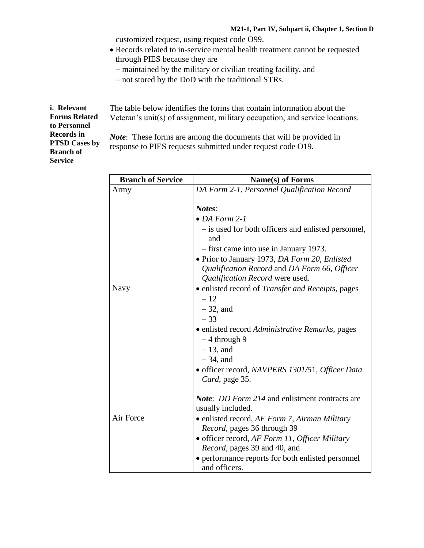customized request, using request code O99.

- Records related to in-service mental health treatment cannot be requested through PIES because they are
	- maintained by the military or civilian treating facility, and
	- not stored by the DoD with the traditional STRs.

**i. Relevant Forms Related to Personnel Records in PTSD Cases by Branch of Service**

The table below identifies the forms that contain information about the Veteran's unit(s) of assignment, military occupation, and service locations.

*Note*: These forms are among the documents that will be provided in response to PIES requests submitted under request code O19.

| <b>Branch of Service</b> | Name(s) of Forms                                                                                                                                                                                                                                                                                                     |
|--------------------------|----------------------------------------------------------------------------------------------------------------------------------------------------------------------------------------------------------------------------------------------------------------------------------------------------------------------|
| Army                     | DA Form 2-1, Personnel Qualification Record                                                                                                                                                                                                                                                                          |
|                          | Notes:<br>$\bullet$ DA Form 2-1<br>- is used for both officers and enlisted personnel,<br>and<br>- first came into use in January 1973.<br>• Prior to January 1973, DA Form 20, Enlisted<br>Qualification Record and DA Form 66, Officer<br>Qualification Record were used.                                          |
| Navy                     | • enlisted record of <i>Transfer and Receipts</i> , pages<br>$-12$<br>$-32$ , and<br>$-33$<br>• enlisted record Administrative Remarks, pages<br>$-4$ through 9<br>$-13$ , and<br>$-34$ , and<br>• officer record, NAVPERS 1301/51, Officer Data<br>Card, page 35.<br>Note: DD Form 214 and enlistment contracts are |
|                          | usually included.                                                                                                                                                                                                                                                                                                    |
| Air Force                | • enlisted record, AF Form 7, Airman Military<br>Record, pages 36 through 39<br>· officer record, AF Form 11, Officer Military<br><i>Record</i> , pages 39 and 40, and<br>• performance reports for both enlisted personnel<br>and officers.                                                                         |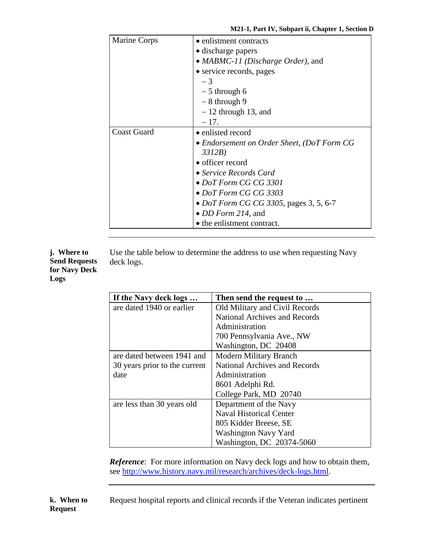| Marine Corps       | • enlistment contracts<br>• discharge papers<br>• MABMC-11 (Discharge Order), and<br>• service records, pages<br>$-3$<br>$-5$ through 6                                                                                                                                                 |
|--------------------|-----------------------------------------------------------------------------------------------------------------------------------------------------------------------------------------------------------------------------------------------------------------------------------------|
|                    | $-8$ through 9<br>$-12$ through 13, and<br>$-17.$                                                                                                                                                                                                                                       |
| <b>Coast Guard</b> | • enlisted record<br>• Endorsement on Order Sheet, (DoT Form CG<br>3312B)<br>• officer record<br>• Service Records Card<br>• DoT Form CG CG 3301<br>• DoT Form CG CG 3303<br>• <i>DoT Form CG CG 3305</i> , pages 3, 5, 6-7<br>• <i>DD Form 214</i> , and<br>• the enlistment contract. |

**j. Where to Send Requests for Navy Deck Logs**

Use the table below to determine the address to use when requesting Navy deck logs.

| If the Navy deck logs         | Then send the request to             |
|-------------------------------|--------------------------------------|
| are dated 1940 or earlier     | Old Military and Civil Records       |
|                               | <b>National Archives and Records</b> |
|                               | Administration                       |
|                               | 700 Pennsylvania Ave., NW            |
|                               | Washington, DC 20408                 |
| are dated between 1941 and    | <b>Modern Military Branch</b>        |
| 30 years prior to the current | <b>National Archives and Records</b> |
| date                          | Administration                       |
|                               | 8601 Adelphi Rd.                     |
|                               | College Park, MD 20740               |
| are less than 30 years old    | Department of the Navy               |
|                               | <b>Naval Historical Center</b>       |
|                               | 805 Kidder Breese, SE                |
|                               | <b>Washington Navy Yard</b>          |
|                               | Washington, DC 20374-5060            |

*Reference*: For more information on Navy deck logs and how to obtain them, see [http://www.history.navy.mil/research/archives/deck-logs.html.](http://www.history.navy.mil/research/archives/deck-logs.html)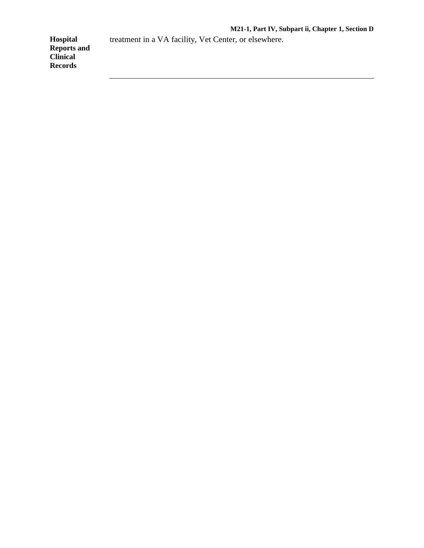treatment in a VA facility, Vet Center, or elsewhere.

**Hospital Reports and Clinical Records**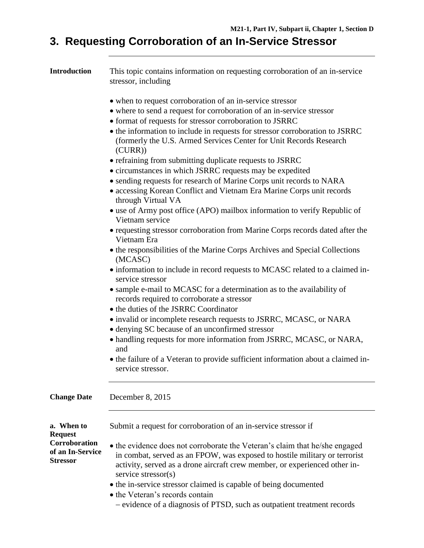# **3. Requesting Corroboration of an In-Service Stressor**

| Introduction                                         | This topic contains information on requesting corroboration of an in-service<br>stressor, including                                                                                                                                     |  |  |
|------------------------------------------------------|-----------------------------------------------------------------------------------------------------------------------------------------------------------------------------------------------------------------------------------------|--|--|
|                                                      | • when to request corroboration of an in-service stressor                                                                                                                                                                               |  |  |
|                                                      | • where to send a request for corroboration of an in-service stressor                                                                                                                                                                   |  |  |
|                                                      | • format of requests for stressor corroboration to JSRRC                                                                                                                                                                                |  |  |
|                                                      | • the information to include in requests for stressor corroboration to JSRRC<br>(formerly the U.S. Armed Services Center for Unit Records Research<br>(CURR))                                                                           |  |  |
|                                                      | • refraining from submitting duplicate requests to JSRRC                                                                                                                                                                                |  |  |
|                                                      | • circumstances in which JSRRC requests may be expedited                                                                                                                                                                                |  |  |
|                                                      | • sending requests for research of Marine Corps unit records to NARA                                                                                                                                                                    |  |  |
|                                                      | • accessing Korean Conflict and Vietnam Era Marine Corps unit records<br>through Virtual VA                                                                                                                                             |  |  |
|                                                      | • use of Army post office (APO) mailbox information to verify Republic of<br>Vietnam service                                                                                                                                            |  |  |
|                                                      | • requesting stressor corroboration from Marine Corps records dated after the<br>Vietnam Era                                                                                                                                            |  |  |
|                                                      | • the responsibilities of the Marine Corps Archives and Special Collections<br>(MCASC)                                                                                                                                                  |  |  |
|                                                      | • information to include in record requests to MCASC related to a claimed in-<br>service stressor                                                                                                                                       |  |  |
|                                                      | • sample e-mail to MCASC for a determination as to the availability of<br>records required to corroborate a stressor                                                                                                                    |  |  |
|                                                      | • the duties of the JSRRC Coordinator                                                                                                                                                                                                   |  |  |
|                                                      | • invalid or incomplete research requests to JSRRC, MCASC, or NARA                                                                                                                                                                      |  |  |
|                                                      | • denying SC because of an unconfirmed stressor                                                                                                                                                                                         |  |  |
|                                                      | • handling requests for more information from JSRRC, MCASC, or NARA,<br>and                                                                                                                                                             |  |  |
|                                                      | • the failure of a Veteran to provide sufficient information about a claimed in-<br>service stressor.                                                                                                                                   |  |  |
| <b>Change Date</b>                                   | December 8, 2015                                                                                                                                                                                                                        |  |  |
| a. When to<br><b>Request</b>                         | Submit a request for corroboration of an in-service stressor if                                                                                                                                                                         |  |  |
| Corroboration<br>of an In-Service<br><b>Stressor</b> | • the evidence does not corroborate the Veteran's claim that he/she engaged<br>in combat, served as an FPOW, was exposed to hostile military or terrorist<br>activity, served as a drone aircraft crew member, or experienced other in- |  |  |
|                                                      | service stressor(s)                                                                                                                                                                                                                     |  |  |
|                                                      | • the in-service stressor claimed is capable of being documented                                                                                                                                                                        |  |  |
|                                                      | • the Veteran's records contain                                                                                                                                                                                                         |  |  |
|                                                      | - evidence of a diagnosis of PTSD, such as outpatient treatment records                                                                                                                                                                 |  |  |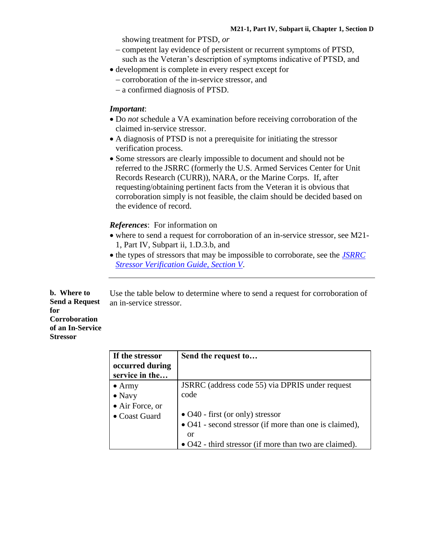showing treatment for PTSD, *or*

- competent lay evidence of persistent or recurrent symptoms of PTSD, such as the Veteran's description of symptoms indicative of PTSD, and
- development is complete in every respect except for
	- corroboration of the in-service stressor, and
	- a confirmed diagnosis of PTSD.

#### *Important*:

- Do *not* schedule a VA examination before receiving corroboration of the claimed in-service stressor.
- A diagnosis of PTSD is not a prerequisite for initiating the stressor verification process.
- Some stressors are clearly impossible to document and should not be referred to the JSRRC (formerly the U.S. Armed Services Center for Unit Records Research (CURR)), NARA, or the Marine Corps. If, after requesting/obtaining pertinent facts from the Veteran it is obvious that corroboration simply is not feasible, the claim should be decided based on the evidence of record.

#### *References*: For information on

- where to send a request for corroboration of an in-service stressor, see M21- 1, Part IV, Subpart ii, 1.D.3.b, and
- the types of stressors that may be impossible to corroborate, see the *[JSRRC](http://vbaw.vba.va.gov/bl/21/publicat/Letters/TrngLtrs/TL04-02A.doc)  [Stressor Verification Guide, Section V](http://vbaw.vba.va.gov/bl/21/publicat/Letters/TrngLtrs/TL04-02A.doc)*.

**b. Where to Send a Request for Corroboration of an In-Service Stressor** Use the table below to determine where to send a request for corroboration of an in-service stressor.

| If the stressor | Send the request to                                    |
|-----------------|--------------------------------------------------------|
| occurred during |                                                        |
| service in the  |                                                        |
| $\bullet$ Army  | JSRRC (address code 55) via DPRIS under request        |
| $\bullet$ Navy  | code                                                   |
| • Air Force, or |                                                        |
| • Coast Guard   | $\bullet$ O40 - first (or only) stressor               |
|                 | • O41 - second stressor (if more than one is claimed), |
|                 | or                                                     |
|                 | • O42 - third stressor (if more than two are claimed). |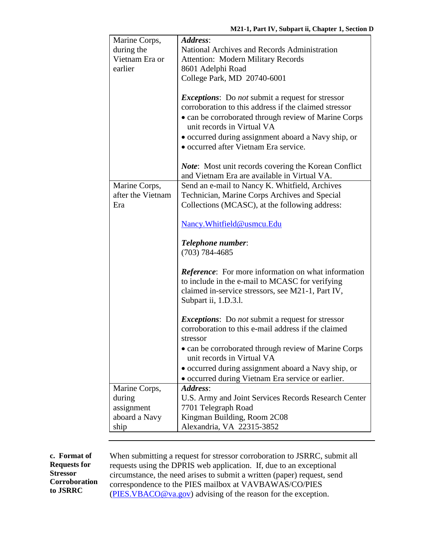| Marine Corps,         | Address:                                                                                                                                                                                                                                                                                                                                                              |  |  |
|-----------------------|-----------------------------------------------------------------------------------------------------------------------------------------------------------------------------------------------------------------------------------------------------------------------------------------------------------------------------------------------------------------------|--|--|
| during the            | National Archives and Records Administration                                                                                                                                                                                                                                                                                                                          |  |  |
| Vietnam Era or        | <b>Attention: Modern Military Records</b>                                                                                                                                                                                                                                                                                                                             |  |  |
| earlier               | 8601 Adelphi Road                                                                                                                                                                                                                                                                                                                                                     |  |  |
|                       | College Park, MD 20740-6001                                                                                                                                                                                                                                                                                                                                           |  |  |
|                       | <i>Exceptions:</i> Do <i>not</i> submit a request for stressor<br>corroboration to this address if the claimed stressor<br>• can be corroborated through review of Marine Corps<br>unit records in Virtual VA<br>• occurred during assignment aboard a Navy ship, or<br>• occurred after Vietnam Era service.<br>Note: Most unit records covering the Korean Conflict |  |  |
|                       | and Vietnam Era are available in Virtual VA.                                                                                                                                                                                                                                                                                                                          |  |  |
| Marine Corps,         | Send an e-mail to Nancy K. Whitfield, Archives                                                                                                                                                                                                                                                                                                                        |  |  |
| after the Vietnam     | Technician, Marine Corps Archives and Special                                                                                                                                                                                                                                                                                                                         |  |  |
| Era                   | Collections (MCASC), at the following address:                                                                                                                                                                                                                                                                                                                        |  |  |
|                       |                                                                                                                                                                                                                                                                                                                                                                       |  |  |
|                       | Nancy. Whitfield@usmcu. Edu                                                                                                                                                                                                                                                                                                                                           |  |  |
|                       | <b>Telephone number:</b>                                                                                                                                                                                                                                                                                                                                              |  |  |
|                       | $(703) 784 - 4685$                                                                                                                                                                                                                                                                                                                                                    |  |  |
|                       |                                                                                                                                                                                                                                                                                                                                                                       |  |  |
|                       | <b>Reference:</b> For more information on what information<br>to include in the e-mail to MCASC for verifying<br>claimed in-service stressors, see M21-1, Part IV,                                                                                                                                                                                                    |  |  |
|                       | Subpart ii, 1.D.3.l.                                                                                                                                                                                                                                                                                                                                                  |  |  |
|                       |                                                                                                                                                                                                                                                                                                                                                                       |  |  |
|                       | <i>Exceptions</i> : Do <i>not</i> submit a request for stressor<br>corroboration to this e-mail address if the claimed<br>stressor                                                                                                                                                                                                                                    |  |  |
|                       | • can be corroborated through review of Marine Corps<br>unit records in Virtual VA                                                                                                                                                                                                                                                                                    |  |  |
|                       |                                                                                                                                                                                                                                                                                                                                                                       |  |  |
|                       | · occurred during assignment aboard a Navy ship, or<br>• occurred during Vietnam Era service or earlier.                                                                                                                                                                                                                                                              |  |  |
| Marine Corps,         | Address:                                                                                                                                                                                                                                                                                                                                                              |  |  |
| during                | U.S. Army and Joint Services Records Research Center                                                                                                                                                                                                                                                                                                                  |  |  |
| assignment            | 7701 Telegraph Road                                                                                                                                                                                                                                                                                                                                                   |  |  |
| aboard a Navy<br>ship | Kingman Building, Room 2C08<br>Alexandria, VA 22315-3852                                                                                                                                                                                                                                                                                                              |  |  |

**c. Format of Requests for Stressor Corroboration to JSRRC**

When submitting a request for stressor corroboration to JSRRC, submit all requests using the DPRIS web application. If, due to an exceptional circumstance, the need arises to submit a written (paper) request, send correspondence to the PIES mailbox at VAVBAWAS/CO/PIES [\(PIES.VBACO@va.gov\)](mailto:PIES.VBACO@va.gov) advising of the reason for the exception.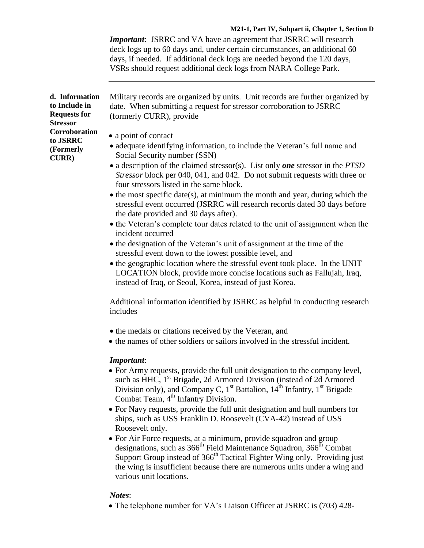#### **M21-1, Part IV, Subpart ii, Chapter 1, Section D**

*Important*: JSRRC and VA have an agreement that JSRRC will research deck logs up to 60 days and, under certain circumstances, an additional 60 days, if needed. If additional deck logs are needed beyond the 120 days, VSRs should request additional deck logs from NARA College Park.

| d. Information<br>to Include in<br><b>Requests for</b><br><b>Stressor</b> | Military records are organized by units. Unit records are further organized by<br>date. When submitting a request for stressor corroboration to JSRRC<br>(formerly CURR), provide                                                                                                                                                                                                                                                                                                                                                                                                                                                                                                                                                                                                                                                                                                                                                                                   |
|---------------------------------------------------------------------------|---------------------------------------------------------------------------------------------------------------------------------------------------------------------------------------------------------------------------------------------------------------------------------------------------------------------------------------------------------------------------------------------------------------------------------------------------------------------------------------------------------------------------------------------------------------------------------------------------------------------------------------------------------------------------------------------------------------------------------------------------------------------------------------------------------------------------------------------------------------------------------------------------------------------------------------------------------------------|
| Corroboration<br>to JSRRC<br>(Formerly<br><b>CURR</b> )                   | • a point of contact<br>• adequate identifying information, to include the Veteran's full name and<br>Social Security number (SSN)<br>• a description of the claimed stressor(s). List only one stressor in the PTSD<br>Stressor block per 040, 041, and 042. Do not submit requests with three or<br>four stressors listed in the same block.<br>$\bullet$ the most specific date(s), at minimum the month and year, during which the<br>stressful event occurred (JSRRC will research records dated 30 days before<br>the date provided and 30 days after).<br>• the Veteran's complete tour dates related to the unit of assignment when the<br>incident occurred<br>• the designation of the Veteran's unit of assignment at the time of the<br>stressful event down to the lowest possible level, and<br>• the geographic location where the stressful event took place. In the UNIT<br>LOCATION block, provide more concise locations such as Fallujah, Iraq, |
|                                                                           | instead of Iraq, or Seoul, Korea, instead of just Korea.<br>Additional information identified by JSRRC as helpful in conducting research<br>includes                                                                                                                                                                                                                                                                                                                                                                                                                                                                                                                                                                                                                                                                                                                                                                                                                |
|                                                                           | • the medals or citations received by the Veteran, and<br>• the names of other soldiers or sailors involved in the stressful incident.                                                                                                                                                                                                                                                                                                                                                                                                                                                                                                                                                                                                                                                                                                                                                                                                                              |
|                                                                           | Important:<br>• For Army requests, provide the full unit designation to the company level,<br>such as HHC, 1 <sup>st</sup> Brigade, 2d Armored Division (instead of 2d Armored<br>Division only), and Company C, $1st$ Battalion, $14th$ Infantry, $1st$ Brigade<br>Combat Team, 4 <sup>th</sup> Infantry Division.                                                                                                                                                                                                                                                                                                                                                                                                                                                                                                                                                                                                                                                 |

- For Navy requests, provide the full unit designation and hull numbers for ships, such as USS Franklin D. Roosevelt (CVA-42) instead of USS Roosevelt only.
- For Air Force requests, at a minimum, provide squadron and group designations, such as 366<sup>th</sup> Field Maintenance Squadron, 366<sup>th</sup> Combat Support Group instead of 366<sup>th</sup> Tactical Fighter Wing only. Providing just the wing is insufficient because there are numerous units under a wing and various unit locations.

#### *Notes*:

The telephone number for VA's Liaison Officer at JSRRC is (703) 428-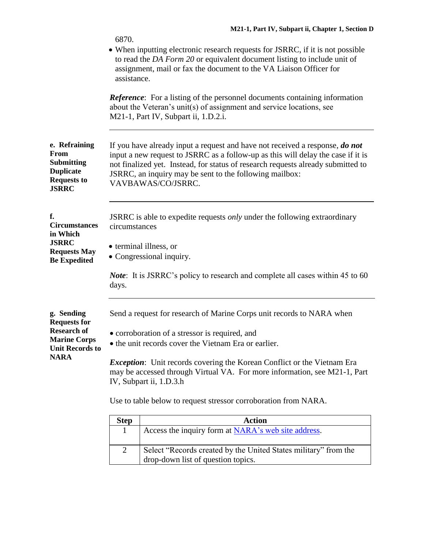|                                                                                                      | 6870.                                                                                                                                                                                                                                            |                                                                                                                                                                                                                                                                                                                                       |  |
|------------------------------------------------------------------------------------------------------|--------------------------------------------------------------------------------------------------------------------------------------------------------------------------------------------------------------------------------------------------|---------------------------------------------------------------------------------------------------------------------------------------------------------------------------------------------------------------------------------------------------------------------------------------------------------------------------------------|--|
|                                                                                                      | assistance.                                                                                                                                                                                                                                      | • When inputting electronic research requests for JSRRC, if it is not possible<br>to read the DA Form 20 or equivalent document listing to include unit of<br>assignment, mail or fax the document to the VA Liaison Officer for                                                                                                      |  |
|                                                                                                      |                                                                                                                                                                                                                                                  | <b>Reference:</b> For a listing of the personnel documents containing information<br>about the Veteran's unit(s) of assignment and service locations, see<br>M21-1, Part IV, Subpart ii, 1.D.2.i.                                                                                                                                     |  |
| e. Refraining<br>From<br><b>Submitting</b><br><b>Duplicate</b><br><b>Requests to</b><br><b>JSRRC</b> |                                                                                                                                                                                                                                                  | If you have already input a request and have not received a response, do not<br>input a new request to JSRRC as a follow-up as this will delay the case if it is<br>not finalized yet. Instead, for status of research requests already submitted to<br>JSRRC, an inquiry may be sent to the following mailbox:<br>VAVBAWAS/CO/JSRRC. |  |
| f.<br><b>Circumstances</b><br>in Which<br><b>JSRRC</b><br><b>Requests May</b><br><b>Be Expedited</b> | JSRRC is able to expedite requests <i>only</i> under the following extraordinary<br>circumstances<br>• terminal illness, or<br>• Congressional inquiry.<br><i>Note</i> : It is JSRRC's policy to research and complete all cases within 45 to 60 |                                                                                                                                                                                                                                                                                                                                       |  |
|                                                                                                      | days.                                                                                                                                                                                                                                            |                                                                                                                                                                                                                                                                                                                                       |  |
| g. Sending<br><b>Requests for</b>                                                                    | Send a request for research of Marine Corps unit records to NARA when                                                                                                                                                                            |                                                                                                                                                                                                                                                                                                                                       |  |
| <b>Research of</b><br><b>Marine Corps</b>                                                            | • corroboration of a stressor is required, and<br>• the unit records cover the Vietnam Era or earlier.<br><i>Exception</i> : Unit records covering the Korean Conflict or the Vietnam Era                                                        |                                                                                                                                                                                                                                                                                                                                       |  |
| <b>Unit Records to</b><br><b>NARA</b>                                                                |                                                                                                                                                                                                                                                  |                                                                                                                                                                                                                                                                                                                                       |  |
|                                                                                                      | may be accessed through Virtual VA. For more information, see M21-1, Part<br>IV, Subpart ii, 1.D.3.h                                                                                                                                             |                                                                                                                                                                                                                                                                                                                                       |  |
|                                                                                                      | Use to table below to request stressor corroboration from NARA.                                                                                                                                                                                  |                                                                                                                                                                                                                                                                                                                                       |  |
|                                                                                                      | <b>Step</b>                                                                                                                                                                                                                                      | <b>Action</b>                                                                                                                                                                                                                                                                                                                         |  |
|                                                                                                      | $\mathbf{1}$                                                                                                                                                                                                                                     | Access the inquiry form at NARA's web site address.                                                                                                                                                                                                                                                                                   |  |

2 Select "Records created by the United States military" from the

drop-down list of question topics.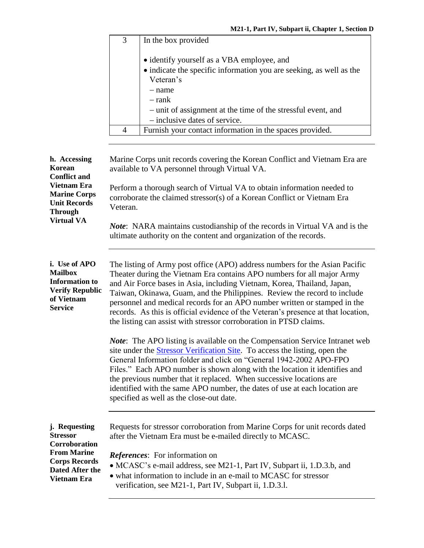|                                                                                                                    | $\overline{3}$                                                                                                                                                                                                                                                                                                                                                                                                                                                                                                                                       | In the box provided                                                                                                                       |  |
|--------------------------------------------------------------------------------------------------------------------|------------------------------------------------------------------------------------------------------------------------------------------------------------------------------------------------------------------------------------------------------------------------------------------------------------------------------------------------------------------------------------------------------------------------------------------------------------------------------------------------------------------------------------------------------|-------------------------------------------------------------------------------------------------------------------------------------------|--|
|                                                                                                                    |                                                                                                                                                                                                                                                                                                                                                                                                                                                                                                                                                      | • identify yourself as a VBA employee, and                                                                                                |  |
|                                                                                                                    |                                                                                                                                                                                                                                                                                                                                                                                                                                                                                                                                                      | • indicate the specific information you are seeking, as well as the                                                                       |  |
|                                                                                                                    |                                                                                                                                                                                                                                                                                                                                                                                                                                                                                                                                                      | Veteran's                                                                                                                                 |  |
|                                                                                                                    |                                                                                                                                                                                                                                                                                                                                                                                                                                                                                                                                                      | $-$ name                                                                                                                                  |  |
|                                                                                                                    |                                                                                                                                                                                                                                                                                                                                                                                                                                                                                                                                                      | $-$ rank                                                                                                                                  |  |
|                                                                                                                    |                                                                                                                                                                                                                                                                                                                                                                                                                                                                                                                                                      | - unit of assignment at the time of the stressful event, and                                                                              |  |
|                                                                                                                    |                                                                                                                                                                                                                                                                                                                                                                                                                                                                                                                                                      | - inclusive dates of service.                                                                                                             |  |
|                                                                                                                    | $\overline{4}$                                                                                                                                                                                                                                                                                                                                                                                                                                                                                                                                       | Furnish your contact information in the spaces provided.                                                                                  |  |
|                                                                                                                    |                                                                                                                                                                                                                                                                                                                                                                                                                                                                                                                                                      |                                                                                                                                           |  |
| h. Accessing<br>Korean<br><b>Conflict and</b>                                                                      |                                                                                                                                                                                                                                                                                                                                                                                                                                                                                                                                                      | Marine Corps unit records covering the Korean Conflict and Vietnam Era are<br>available to VA personnel through Virtual VA.               |  |
| <b>Vietnam Era</b><br><b>Marine Corps</b><br><b>Unit Records</b><br><b>Through</b>                                 | Perform a thorough search of Virtual VA to obtain information needed to<br>corroborate the claimed stressor(s) of a Korean Conflict or Vietnam Era<br>Veteran.                                                                                                                                                                                                                                                                                                                                                                                       |                                                                                                                                           |  |
| <b>Virtual VA</b>                                                                                                  | <i>Note</i> : NARA maintains custodianship of the records in Virtual VA and is the<br>ultimate authority on the content and organization of the records.                                                                                                                                                                                                                                                                                                                                                                                             |                                                                                                                                           |  |
| i. Use of APO<br><b>Mailbox</b><br><b>Information</b> to<br><b>Verify Republic</b><br>of Vietnam<br><b>Service</b> | The listing of Army post office (APO) address numbers for the Asian Pacific<br>Theater during the Vietnam Era contains APO numbers for all major Army<br>and Air Force bases in Asia, including Vietnam, Korea, Thailand, Japan,<br>Taiwan, Okinawa, Guam, and the Philippines. Review the record to include<br>personnel and medical records for an APO number written or stamped in the<br>records. As this is official evidence of the Veteran's presence at that location,<br>the listing can assist with stressor corroboration in PTSD claims. |                                                                                                                                           |  |
|                                                                                                                    | <i>Note</i> : The APO listing is available on the Compensation Service Intranet web<br>site under the <b>Stressor Verification Site</b> . To access the listing, open the<br>General Information folder and click on "General 1942-2002 APO-FPO<br>Files." Each APO number is shown along with the location it identifies and<br>the previous number that it replaced. When successive locations are<br>identified with the same APO number, the dates of use at each location are<br>specified as well as the close-out date.                       |                                                                                                                                           |  |
| j. Requesting<br><b>Stressor</b><br>Corroboration                                                                  |                                                                                                                                                                                                                                                                                                                                                                                                                                                                                                                                                      | Requests for stressor corroboration from Marine Corps for unit records dated<br>after the Vietnam Era must be e-mailed directly to MCASC. |  |
| <b>From Marine</b>                                                                                                 |                                                                                                                                                                                                                                                                                                                                                                                                                                                                                                                                                      | <i>References:</i> For information on                                                                                                     |  |
| <b>Corps Records</b><br>Dated After the                                                                            |                                                                                                                                                                                                                                                                                                                                                                                                                                                                                                                                                      | • MCASC's e-mail address, see M21-1, Part IV, Subpart ii, 1.D.3.b, and                                                                    |  |
| <b>Vietnam Era</b>                                                                                                 |                                                                                                                                                                                                                                                                                                                                                                                                                                                                                                                                                      | • what information to include in an e-mail to MCASC for stressor<br>verification, see M21-1, Part IV, Subpart ii, 1.D.3.l.                |  |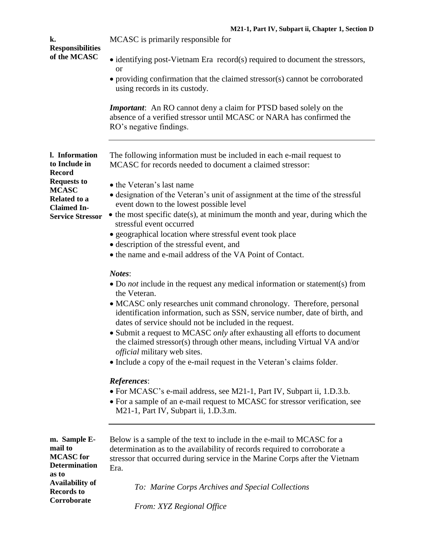| k.                                                                           | 19121-1, 1 art 1 v, bubpart n, Chapter 1, becubil D<br>MCASC is primarily responsible for                                                                                                                                                                     |  |  |
|------------------------------------------------------------------------------|---------------------------------------------------------------------------------------------------------------------------------------------------------------------------------------------------------------------------------------------------------------|--|--|
| <b>Responsibilities</b><br>of the MCASC                                      | • identifying post-Vietnam Era record(s) required to document the stressors,                                                                                                                                                                                  |  |  |
|                                                                              | <b>or</b><br>• providing confirmation that the claimed stressor(s) cannot be corroborated<br>using records in its custody.                                                                                                                                    |  |  |
|                                                                              | <b>Important:</b> An RO cannot deny a claim for PTSD based solely on the<br>absence of a verified stressor until MCASC or NARA has confirmed the<br>RO's negative findings.                                                                                   |  |  |
| l. Information<br>to Include in<br><b>Record</b>                             | The following information must be included in each e-mail request to<br>MCASC for records needed to document a claimed stressor:                                                                                                                              |  |  |
| <b>Requests to</b><br><b>MCASC</b><br>Related to a                           | • the Veteran's last name<br>• designation of the Veteran's unit of assignment at the time of the stressful                                                                                                                                                   |  |  |
| <b>Claimed In-</b><br><b>Service Stressor</b>                                | event down to the lowest possible level<br>$\bullet$ the most specific date(s), at minimum the month and year, during which the<br>stressful event occurred                                                                                                   |  |  |
|                                                                              | • geographical location where stressful event took place<br>• description of the stressful event, and                                                                                                                                                         |  |  |
|                                                                              | • the name and e-mail address of the VA Point of Contact.                                                                                                                                                                                                     |  |  |
|                                                                              | Notes:<br>• Do not include in the request any medical information or statement(s) from<br>the Veteran.<br>• MCASC only researches unit command chronology. Therefore, personal<br>identification information, such as SSN, service number, date of birth, and |  |  |
|                                                                              | dates of service should not be included in the request.<br>• Submit a request to MCASC only after exhausting all efforts to document<br>the claimed stressor(s) through other means, including Virtual VA and/or                                              |  |  |
|                                                                              | <i>official</i> military web sites.<br>• Include a copy of the e-mail request in the Veteran's claims folder.                                                                                                                                                 |  |  |
|                                                                              | References:<br>• For MCASC's e-mail address, see M21-1, Part IV, Subpart ii, 1.D.3.b.<br>• For a sample of an e-mail request to MCASC for stressor verification, see<br>M21-1, Part IV, Subpart ii, 1.D.3.m.                                                  |  |  |
| m. Sample E-<br>mail to<br><b>MCASC</b> for<br><b>Determination</b><br>as to | Below is a sample of the text to include in the e-mail to MCASC for a<br>determination as to the availability of records required to corroborate a<br>stressor that occurred during service in the Marine Corps after the Vietnam<br>Era.                     |  |  |
| <b>Availability of</b><br><b>Records to</b><br>Corroborate                   | To: Marine Corps Archives and Special Collections                                                                                                                                                                                                             |  |  |
|                                                                              | From: XYZ Regional Office                                                                                                                                                                                                                                     |  |  |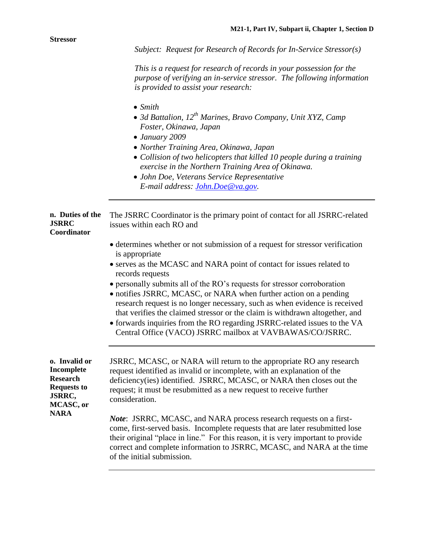|                                                                                             | Subject: Request for Research of Records for In-Service Stressor(s)                                                                                                                                                                                                                                                                                                                                                                                                                                                                                                                                                                                   |
|---------------------------------------------------------------------------------------------|-------------------------------------------------------------------------------------------------------------------------------------------------------------------------------------------------------------------------------------------------------------------------------------------------------------------------------------------------------------------------------------------------------------------------------------------------------------------------------------------------------------------------------------------------------------------------------------------------------------------------------------------------------|
|                                                                                             | This is a request for research of records in your possession for the<br>purpose of verifying an in-service stressor. The following information<br>is provided to assist your research:                                                                                                                                                                                                                                                                                                                                                                                                                                                                |
|                                                                                             | $\bullet$ Smith<br>• 3d Battalion, $12^{th}$ Marines, Bravo Company, Unit XYZ, Camp<br>Foster, Okinawa, Japan<br>$\bullet$ January 2009<br>• Norther Training Area, Okinawa, Japan<br>• Collision of two helicopters that killed 10 people during a training<br>exercise in the Northern Training Area of Okinawa.<br>• John Doe, Veterans Service Representative<br>E-mail address: John.Doe@va.gov.                                                                                                                                                                                                                                                 |
| n. Duties of the<br><b>JSRRC</b><br>Coordinator                                             | The JSRRC Coordinator is the primary point of contact for all JSRRC-related<br>issues within each RO and                                                                                                                                                                                                                                                                                                                                                                                                                                                                                                                                              |
|                                                                                             | • determines whether or not submission of a request for stressor verification<br>is appropriate<br>• serves as the MCASC and NARA point of contact for issues related to<br>records requests<br>• personally submits all of the RO's requests for stressor corroboration<br>· notifies JSRRC, MCASC, or NARA when further action on a pending<br>research request is no longer necessary, such as when evidence is received<br>that verifies the claimed stressor or the claim is withdrawn altogether, and<br>• forwards inquiries from the RO regarding JSRRC-related issues to the VA<br>Central Office (VACO) JSRRC mailbox at VAVBAWAS/CO/JSRRC. |
| o. Invalid or<br>Incomplete<br><b>Research</b><br><b>Requests to</b><br>JSRRC,<br>MCASC, or | JSRRC, MCASC, or NARA will return to the appropriate RO any research<br>request identified as invalid or incomplete, with an explanation of the<br>deficiency(ies) identified. JSRRC, MCASC, or NARA then closes out the<br>request; it must be resubmitted as a new request to receive further<br>consideration.                                                                                                                                                                                                                                                                                                                                     |
| <b>NARA</b>                                                                                 | Note: JSRRC, MCASC, and NARA process research requests on a first-<br>come, first-served basis. Incomplete requests that are later resubmitted lose<br>their original "place in line." For this reason, it is very important to provide<br>correct and complete information to JSRRC, MCASC, and NARA at the time<br>of the initial submission.                                                                                                                                                                                                                                                                                                       |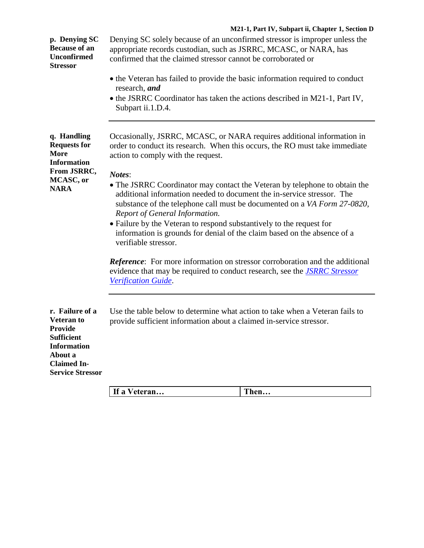## **M21-1, Part IV, Subpart ii, Chapter 1, Section D**

| p. Denying SC<br><b>Because of an</b><br><b>Unconfirmed</b><br><b>Stressor</b>                                                                                | Denying SC solely because of an unconfirmed stressor is improper unless the<br>appropriate records custodian, such as JSRRC, MCASC, or NARA, has<br>confirmed that the claimed stressor cannot be corroborated or<br>• the Veteran has failed to provide the basic information required to conduct<br>research, and<br>• the JSRRC Coordinator has taken the actions described in M21-1, Part IV,<br>Subpart ii.1.D.4. |                                                                          |
|---------------------------------------------------------------------------------------------------------------------------------------------------------------|------------------------------------------------------------------------------------------------------------------------------------------------------------------------------------------------------------------------------------------------------------------------------------------------------------------------------------------------------------------------------------------------------------------------|--------------------------------------------------------------------------|
| q. Handling<br><b>Requests for</b><br><b>More</b><br><b>Information</b><br>From JSRRC,                                                                        | Occasionally, JSRRC, MCASC, or NARA requires additional information in<br>order to conduct its research. When this occurs, the RO must take immediate<br>action to comply with the request.                                                                                                                                                                                                                            |                                                                          |
| MCASC, or<br><b>NARA</b>                                                                                                                                      | Notes:<br>• The JSRRC Coordinator may contact the Veteran by telephone to obtain the<br>additional information needed to document the in-service stressor. The<br>Report of General Information.<br>• Failure by the Veteran to respond substantively to the request for<br>information is grounds for denial of the claim based on the absence of a<br>verifiable stressor.                                           | substance of the telephone call must be documented on a VA Form 27-0820, |
|                                                                                                                                                               | <b>Reference:</b> For more information on stressor corroboration and the additional<br>evidence that may be required to conduct research, see the <i>JSRRC Stressor</i><br>Verification Guide.                                                                                                                                                                                                                         |                                                                          |
| r. Failure of a<br><b>Veteran to</b><br><b>Provide</b><br><b>Sufficient</b><br><b>Information</b><br>About a<br><b>Claimed In-</b><br><b>Service Stressor</b> | Use the table below to determine what action to take when a Veteran fails to<br>provide sufficient information about a claimed in-service stressor.                                                                                                                                                                                                                                                                    |                                                                          |
|                                                                                                                                                               | If a Veteran                                                                                                                                                                                                                                                                                                                                                                                                           | Then                                                                     |

|--|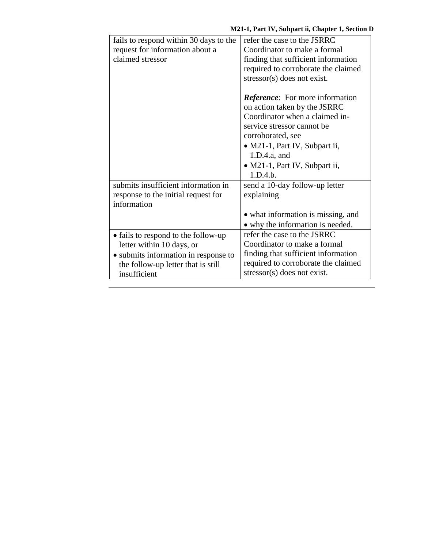| fails to respond within 30 days to the | refer the case to the JSRRC             |
|----------------------------------------|-----------------------------------------|
| request for information about a        | Coordinator to make a formal            |
| claimed stressor                       | finding that sufficient information     |
|                                        | required to corroborate the claimed     |
|                                        | $stressor(s)$ does not exist.           |
|                                        |                                         |
|                                        | <i>Reference</i> : For more information |
|                                        | on action taken by the JSRRC            |
|                                        | Coordinator when a claimed in-          |
|                                        | service stressor cannot be.             |
|                                        | corroborated, see                       |
|                                        | • M21-1, Part IV, Subpart ii,           |
|                                        | 1.D.4.a, and                            |
|                                        | · M21-1, Part IV, Subpart ii,           |
|                                        | 1.D.4.b.                                |
| submits insufficient information in    | send a 10-day follow-up letter          |
| response to the initial request for    | explaining                              |
| information                            |                                         |
|                                        | • what information is missing, and      |
|                                        | • why the information is needed.        |
| • fails to respond to the follow-up    | refer the case to the JSRRC             |
| letter within 10 days, or              | Coordinator to make a formal            |
| • submits information in response to   | finding that sufficient information     |
| the follow-up letter that is still     | required to corroborate the claimed     |
| insufficient                           | $stressor(s)$ does not exist.           |
|                                        |                                         |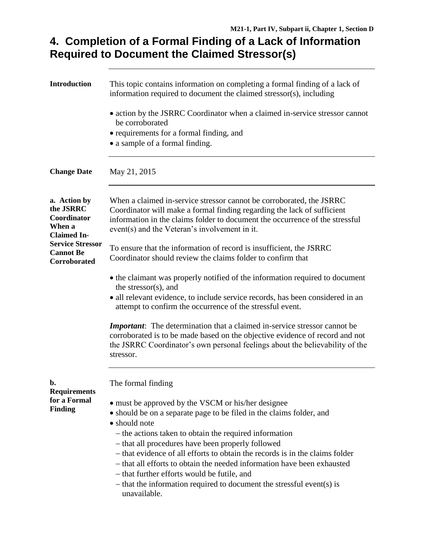# **4. Completion of a Formal Finding of a Lack of Information Required to Document the Claimed Stressor(s)**

| <b>Introduction</b>                                                      | This topic contains information on completing a formal finding of a lack of<br>information required to document the claimed stressor(s), including                                                                                                                                                                                                                                                                                                                                                                                                              |  |
|--------------------------------------------------------------------------|-----------------------------------------------------------------------------------------------------------------------------------------------------------------------------------------------------------------------------------------------------------------------------------------------------------------------------------------------------------------------------------------------------------------------------------------------------------------------------------------------------------------------------------------------------------------|--|
|                                                                          | • action by the JSRRC Coordinator when a claimed in-service stressor cannot<br>be corroborated<br>• requirements for a formal finding, and<br>• a sample of a formal finding.                                                                                                                                                                                                                                                                                                                                                                                   |  |
| <b>Change Date</b>                                                       | May 21, 2015                                                                                                                                                                                                                                                                                                                                                                                                                                                                                                                                                    |  |
| a. Action by<br>the JSRRC<br>Coordinator<br>When a<br><b>Claimed In-</b> | When a claimed in-service stressor cannot be corroborated, the JSRRC<br>Coordinator will make a formal finding regarding the lack of sufficient<br>information in the claims folder to document the occurrence of the stressful<br>event(s) and the Veteran's involvement in it.                                                                                                                                                                                                                                                                                |  |
| <b>Service Stressor</b><br><b>Cannot Be</b><br><b>Corroborated</b>       | To ensure that the information of record is insufficient, the JSRRC<br>Coordinator should review the claims folder to confirm that                                                                                                                                                                                                                                                                                                                                                                                                                              |  |
|                                                                          | • the claimant was properly notified of the information required to document<br>the stressor(s), and<br>• all relevant evidence, to include service records, has been considered in an<br>attempt to confirm the occurrence of the stressful event.                                                                                                                                                                                                                                                                                                             |  |
|                                                                          | <b>Important:</b> The determination that a claimed in-service stressor cannot be<br>corroborated is to be made based on the objective evidence of record and not<br>the JSRRC Coordinator's own personal feelings about the believability of the<br>stressor.                                                                                                                                                                                                                                                                                                   |  |
| b.<br><b>Requirements</b>                                                | The formal finding                                                                                                                                                                                                                                                                                                                                                                                                                                                                                                                                              |  |
| for a Formal<br><b>Finding</b>                                           | • must be approved by the VSCM or his/her designee<br>• should be on a separate page to be filed in the claims folder, and<br>· should note<br>- the actions taken to obtain the required information<br>- that all procedures have been properly followed<br>- that evidence of all efforts to obtain the records is in the claims folder<br>- that all efforts to obtain the needed information have been exhausted<br>- that further efforts would be futile, and<br>$-$ that the information required to document the stressful event(s) is<br>unavailable. |  |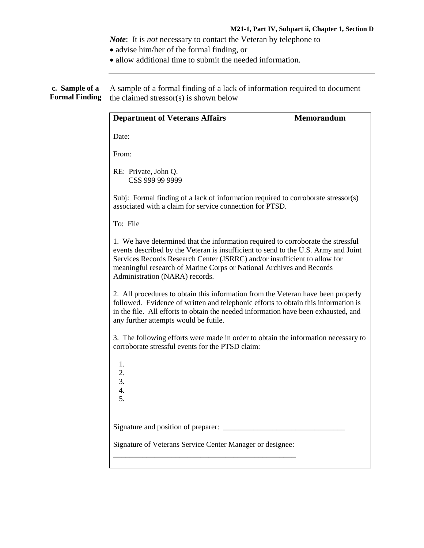*Note*: It is *not* necessary to contact the Veteran by telephone to

- advise him/her of the formal finding, or
- allow additional time to submit the needed information.

**c. Sample of a Formal Finding** the claimed stressor(s) is shown below A sample of a formal finding of a lack of information required to document

| <b>Department of Veterans Affairs</b>                                                                                                                                                                                                                                                                                                                         | <b>Memorandum</b> |
|---------------------------------------------------------------------------------------------------------------------------------------------------------------------------------------------------------------------------------------------------------------------------------------------------------------------------------------------------------------|-------------------|
| Date:                                                                                                                                                                                                                                                                                                                                                         |                   |
| From:                                                                                                                                                                                                                                                                                                                                                         |                   |
| RE: Private, John Q.<br>CSS 999 99 9999                                                                                                                                                                                                                                                                                                                       |                   |
| Subj: Formal finding of a lack of information required to corroborate stressor(s)<br>associated with a claim for service connection for PTSD.                                                                                                                                                                                                                 |                   |
| To: File                                                                                                                                                                                                                                                                                                                                                      |                   |
| 1. We have determined that the information required to corroborate the stressful<br>events described by the Veteran is insufficient to send to the U.S. Army and Joint<br>Services Records Research Center (JSRRC) and/or insufficient to allow for<br>meaningful research of Marine Corps or National Archives and Records<br>Administration (NARA) records. |                   |
| 2. All procedures to obtain this information from the Veteran have been properly<br>followed. Evidence of written and telephonic efforts to obtain this information is<br>in the file. All efforts to obtain the needed information have been exhausted, and<br>any further attempts would be futile.                                                         |                   |
| 3. The following efforts were made in order to obtain the information necessary to<br>corroborate stressful events for the PTSD claim:                                                                                                                                                                                                                        |                   |
| 1.<br>2.<br>3.<br>4.<br>5.                                                                                                                                                                                                                                                                                                                                    |                   |
| Signature and position of preparer:                                                                                                                                                                                                                                                                                                                           |                   |
| Signature of Veterans Service Center Manager or designee:                                                                                                                                                                                                                                                                                                     |                   |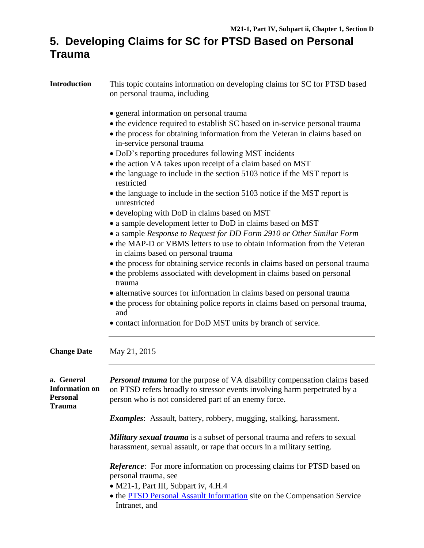# **5. Developing Claims for SC for PTSD Based on Personal Trauma**

| <b>Introduction</b>                                                     | This topic contains information on developing claims for SC for PTSD based<br>on personal trauma, including                                                                                                                                                                                                                                                                                                                                                                                                                                                                                                                                                                                                                         |
|-------------------------------------------------------------------------|-------------------------------------------------------------------------------------------------------------------------------------------------------------------------------------------------------------------------------------------------------------------------------------------------------------------------------------------------------------------------------------------------------------------------------------------------------------------------------------------------------------------------------------------------------------------------------------------------------------------------------------------------------------------------------------------------------------------------------------|
|                                                                         | • general information on personal trauma<br>• the evidence required to establish SC based on in-service personal trauma<br>• the process for obtaining information from the Veteran in claims based on<br>in-service personal trauma<br>· DoD's reporting procedures following MST incidents                                                                                                                                                                                                                                                                                                                                                                                                                                        |
|                                                                         | • the action VA takes upon receipt of a claim based on MST<br>• the language to include in the section 5103 notice if the MST report is<br>restricted                                                                                                                                                                                                                                                                                                                                                                                                                                                                                                                                                                               |
|                                                                         | • the language to include in the section 5103 notice if the MST report is<br>unrestricted                                                                                                                                                                                                                                                                                                                                                                                                                                                                                                                                                                                                                                           |
| <b>Change Date</b>                                                      | • developing with DoD in claims based on MST<br>• a sample development letter to DoD in claims based on MST<br>• a sample Response to Request for DD Form 2910 or Other Similar Form<br>• the MAP-D or VBMS letters to use to obtain information from the Veteran<br>in claims based on personal trauma<br>• the process for obtaining service records in claims based on personal trauma<br>• the problems associated with development in claims based on personal<br>trauma<br>• alternative sources for information in claims based on personal trauma<br>• the process for obtaining police reports in claims based on personal trauma,<br>and<br>• contact information for DoD MST units by branch of service.<br>May 21, 2015 |
| a. General<br><b>Information on</b><br><b>Personal</b><br><b>Trauma</b> | <b>Personal trauma</b> for the purpose of VA disability compensation claims based<br>on PTSD refers broadly to stressor events involving harm perpetrated by a<br>person who is not considered part of an enemy force.                                                                                                                                                                                                                                                                                                                                                                                                                                                                                                              |
|                                                                         | <i>Examples:</i> Assault, battery, robbery, mugging, stalking, harassment.                                                                                                                                                                                                                                                                                                                                                                                                                                                                                                                                                                                                                                                          |
|                                                                         | <b>Military sexual trauma</b> is a subset of personal trauma and refers to sexual<br>harassment, sexual assault, or rape that occurs in a military setting.                                                                                                                                                                                                                                                                                                                                                                                                                                                                                                                                                                         |
|                                                                         | Reference: For more information on processing claims for PTSD based on<br>personal trauma, see                                                                                                                                                                                                                                                                                                                                                                                                                                                                                                                                                                                                                                      |
|                                                                         | • M21-1, Part III, Subpart iv, 4.H.4<br>• the <b>PTSD Personal Assault Information</b> site on the Compensation Service<br>Intranet, and                                                                                                                                                                                                                                                                                                                                                                                                                                                                                                                                                                                            |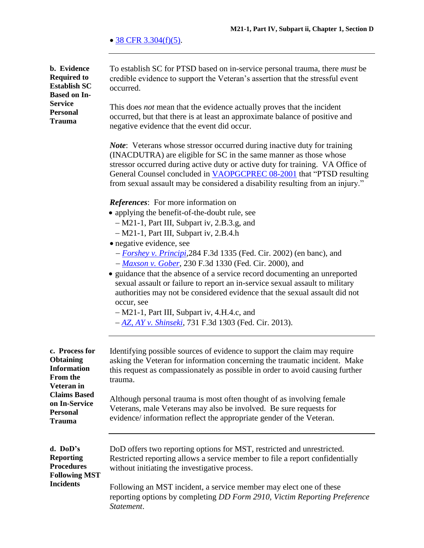$\bullet$  [38 CFR 3.304\(f\)\(5\).](http://www.ecfr.gov/cgi-bin/text-idx?SID=f03f3b0b717b1961b986921476563360&node=se38.1.3_1304&rgn=div8)

**b. Evidence Required to Establish SC Based on In-Service Personal Trauma** To establish SC for PTSD based on in-service personal trauma, there *must* be credible evidence to support the Veteran's assertion that the stressful event occurred. This does *not* mean that the evidence actually proves that the incident occurred, but that there is at least an approximate balance of positive and negative evidence that the event did occur. *Note*: Veterans whose stressor occurred during inactive duty for training (INACDUTRA) are eligible for SC in the same manner as those whose stressor occurred during active duty or active duty for training. VA Office of General Counsel concluded in [VAOPGCPREC 08-2001](http://www4.va.gov/ogc/docs/2001/prc08-2001.doc) that "PTSD resulting from sexual assault may be considered a disability resulting from an injury." *References*: For more information on • applying the benefit-of-the-doubt rule, see M21-1, Part III, Subpart iv, 2.B.3.g, and M21-1, Part III, Subpart iv, 2.B.4.h • negative evidence, see *[Forshey v. Principi](http://vbaw.vba.va.gov/bl/21/Advisory/CAVCDAD.htm#bmf)*,284 F.3d 1335 (Fed. Cir. 2002) (en banc), and *[Maxson v. Gober](http://vbaw.vba.va.gov/bl/21/advisory/CAVCDAD.htm#bmm)*, 230 F.3d 1330 (Fed. Cir. 2000), and • guidance that the absence of a service record documenting an unreported sexual assault or failure to report an in-service sexual assault to military authorities may not be considered evidence that the sexual assault did not occur, see M21-1, Part III, Subpart iv, 4.H.4.c, and *[AZ, AY v. Shinseki](http://www.cafc.uscourts.gov/sites/default/files/opinions-orders/12-7046.Opinion.9-26-2013.1.PDF)*, 731 F.3d 1303 (Fed. Cir. 2013). **c. Process for Obtaining Information From the Veteran in Claims Based on In-Service Personal Trauma** Identifying possible sources of evidence to support the claim may require asking the Veteran for information concerning the traumatic incident. Make this request as compassionately as possible in order to avoid causing further trauma. Although personal trauma is most often thought of as involving female Veterans, male Veterans may also be involved. Be sure requests for evidence/ information reflect the appropriate gender of the Veteran. **d. DoD's Reporting Procedures Following MST Incidents** DoD offers two reporting options for MST, restricted and unrestricted. Restricted reporting allows a service member to file a report confidentially without initiating the investigative process. Following an MST incident, a service member may elect one of these reporting options by completing *DD Form 2910, Victim Reporting Preference Statement*.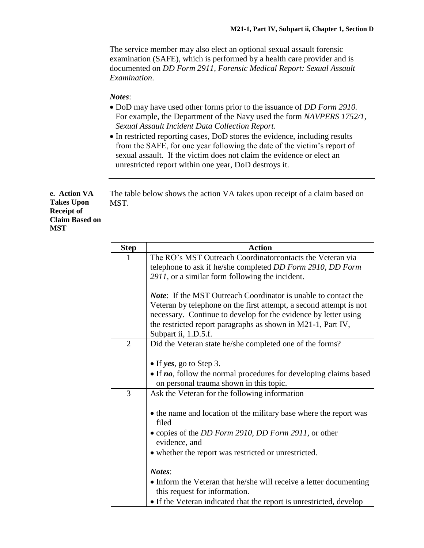The service member may also elect an optional sexual assault forensic examination (SAFE), which is performed by a health care provider and is documented on *DD Form 2911, Forensic Medical Report: Sexual Assault Examination*.

#### *Notes*:

- DoD may have used other forms prior to the issuance of *DD Form 2910.* For example, the Department of the Navy used the form *NAVPERS 1752/1, Sexual Assault Incident Data Collection Report*.
- In restricted reporting cases, DoD stores the evidence, including results from the SAFE, for one year following the date of the victim's report of sexual assault. If the victim does not claim the evidence or elect an unrestricted report within one year, DoD destroys it.

**e. Action VA Takes Upon Receipt of Claim Based on MST**

The table below shows the action VA takes upon receipt of a claim based on MST.

| <b>Step</b>    | <b>Action</b>                                                          |
|----------------|------------------------------------------------------------------------|
|                | The RO's MST Outreach Coordinator contacts the Veteran via             |
|                | telephone to ask if he/she completed DD Form 2910, DD Form             |
|                | 2911, or a similar form following the incident.                        |
|                |                                                                        |
|                | <i>Note</i> : If the MST Outreach Coordinator is unable to contact the |
|                | Veteran by telephone on the first attempt, a second attempt is not     |
|                | necessary. Continue to develop for the evidence by letter using        |
|                | the restricted report paragraphs as shown in M21-1, Part IV,           |
|                | Subpart ii, 1.D.5.f.                                                   |
| $\overline{2}$ | Did the Veteran state he/she completed one of the forms?               |
|                |                                                                        |
|                | • If yes, go to Step 3.                                                |
|                | • If no, follow the normal procedures for developing claims based      |
|                | on personal trauma shown in this topic.                                |
| 3              | Ask the Veteran for the following information                          |
|                |                                                                        |
|                | • the name and location of the military base where the report was      |
|                | filed                                                                  |
|                | • copies of the DD Form 2910, DD Form 2911, or other                   |
|                | evidence, and                                                          |
|                | • whether the report was restricted or unrestricted.                   |
|                |                                                                        |
|                | Notes:                                                                 |
|                | • Inform the Veteran that he/she will receive a letter documenting     |
|                | this request for information.                                          |
|                | • If the Veteran indicated that the report is unrestricted, develop    |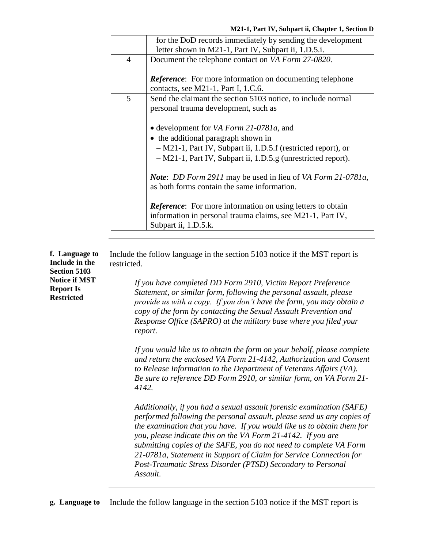|                | for the DoD records immediately by sending the development         |
|----------------|--------------------------------------------------------------------|
|                | letter shown in M21-1, Part IV, Subpart ii, 1.D.5.i.               |
| $\overline{4}$ | Document the telephone contact on VA Form 27-0820.                 |
|                |                                                                    |
|                | <b>Reference:</b> For more information on documenting telephone    |
|                | contacts, see M21-1, Part I, 1.C.6.                                |
| 5              | Send the claimant the section 5103 notice, to include normal       |
|                | personal trauma development, such as                               |
|                |                                                                    |
|                | • development for VA Form 21-0781a, and                            |
|                | the additional paragraph shown in                                  |
|                | - M21-1, Part IV, Subpart ii, 1.D.5.f (restricted report), or      |
|                | - M21-1, Part IV, Subpart ii, 1.D.5.g (unrestricted report).       |
|                |                                                                    |
|                | <b>Note:</b> DD Form 2911 may be used in lieu of VA Form 21-0781a, |
|                | as both forms contain the same information.                        |
|                |                                                                    |
|                | <b>Reference:</b> For more information on using letters to obtain  |
|                | information in personal trauma claims, see M21-1, Part IV,         |
|                | Subpart ii, 1.D.5.k.                                               |
|                |                                                                    |

| f. Language to<br>Include in the<br><b>Section 5103</b>       | Include the follow language in the section 5103 notice if the MST report is<br>restricted.                                                                                                                                                                                                                                                                                                                                                                                                                       |  |
|---------------------------------------------------------------|------------------------------------------------------------------------------------------------------------------------------------------------------------------------------------------------------------------------------------------------------------------------------------------------------------------------------------------------------------------------------------------------------------------------------------------------------------------------------------------------------------------|--|
| <b>Notice if MST</b><br><b>Report Is</b><br><b>Restricted</b> | If you have completed DD Form 2910, Victim Report Preference<br>Statement, or similar form, following the personal assault, please<br>provide us with a copy. If you don't have the form, you may obtain a<br>copy of the form by contacting the Sexual Assault Prevention and<br>Response Office (SAPRO) at the military base where you filed your<br>report.                                                                                                                                                   |  |
|                                                               | If you would like us to obtain the form on your behalf, please complete<br>and return the enclosed VA Form 21-4142, Authorization and Consent<br>to Release Information to the Department of Veterans Affairs (VA).<br>Be sure to reference DD Form 2910, or similar form, on VA Form 21-<br>4142.                                                                                                                                                                                                               |  |
|                                                               | Additionally, if you had a sexual assault forensic examination (SAFE)<br>performed following the personal assault, please send us any copies of<br>the examination that you have. If you would like us to obtain them for<br>you, please indicate this on the VA Form 21-4142. If you are<br>submitting copies of the SAFE, you do not need to complete VA Form<br>21-0781a, Statement in Support of Claim for Service Connection for<br>Post-Traumatic Stress Disorder (PTSD) Secondary to Personal<br>Assault. |  |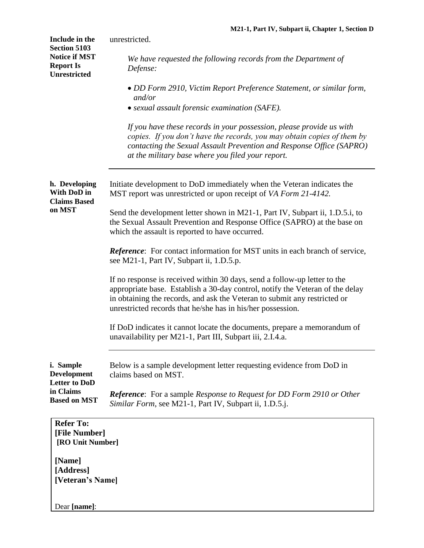| Include in the<br><b>Section 5103</b>                           | unrestricted.                                                                                                                                                                                                                                                                                          |
|-----------------------------------------------------------------|--------------------------------------------------------------------------------------------------------------------------------------------------------------------------------------------------------------------------------------------------------------------------------------------------------|
| <b>Notice if MST</b><br><b>Report Is</b><br><b>Unrestricted</b> | We have requested the following records from the Department of<br>Defense:                                                                                                                                                                                                                             |
|                                                                 | • DD Form 2910, Victim Report Preference Statement, or similar form,<br>and/or                                                                                                                                                                                                                         |
|                                                                 | • sexual assault forensic examination (SAFE).                                                                                                                                                                                                                                                          |
|                                                                 | If you have these records in your possession, please provide us with<br>copies. If you don't have the records, you may obtain copies of them by<br>contacting the Sexual Assault Prevention and Response Office (SAPRO)<br>at the military base where you filed your report.                           |
| h. Developing<br>With DoD in<br><b>Claims Based</b>             | Initiate development to DoD immediately when the Veteran indicates the<br>MST report was unrestricted or upon receipt of VA Form 21-4142.                                                                                                                                                              |
| on MST                                                          | Send the development letter shown in M21-1, Part IV, Subpart ii, 1.D.5.i, to<br>the Sexual Assault Prevention and Response Office (SAPRO) at the base on<br>which the assault is reported to have occurred.                                                                                            |
|                                                                 | Reference: For contact information for MST units in each branch of service,<br>see M21-1, Part IV, Subpart ii, 1.D.5.p.                                                                                                                                                                                |
|                                                                 | If no response is received within 30 days, send a follow-up letter to the<br>appropriate base. Establish a 30-day control, notify the Veteran of the delay<br>in obtaining the records, and ask the Veteran to submit any restricted or<br>unrestricted records that he/she has in his/her possession. |
|                                                                 | If DoD indicates it cannot locate the documents, prepare a memorandum of<br>unavailability per M21-1, Part III, Subpart iii, 2.I.4.a.                                                                                                                                                                  |
| i. Sample<br><b>Development</b><br><b>Letter to DoD</b>         | Below is a sample development letter requesting evidence from DoD in<br>claims based on MST.                                                                                                                                                                                                           |
| in Claims<br><b>Based on MST</b>                                | <b>Reference:</b> For a sample Response to Request for DD Form 2910 or Other<br>Similar Form, see M21-1, Part IV, Subpart ii, 1.D.5.j.                                                                                                                                                                 |
| <b>Refer To:</b><br>[File Number]<br>[RO Unit Number]           |                                                                                                                                                                                                                                                                                                        |
| [Name]<br>[Address]<br>[Veteran's Name]                         |                                                                                                                                                                                                                                                                                                        |
| Dear [name]:                                                    |                                                                                                                                                                                                                                                                                                        |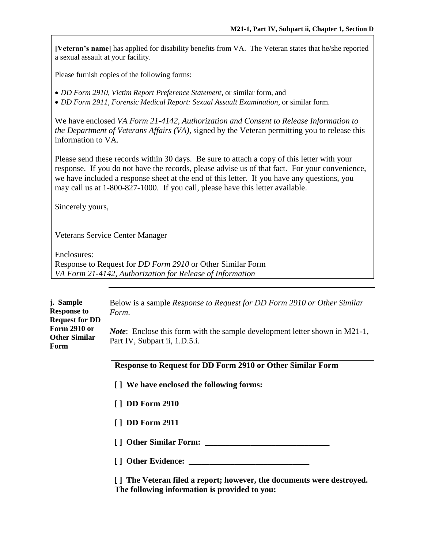**[Veteran's name]** has applied for disability benefits from VA. The Veteran states that he/she reported a sexual assault at your facility.

Please furnish copies of the following forms:

*DD Form 2910, Victim Report Preference Statement*, or similar form, and

*DD Form 2911, Forensic Medical Report: Sexual Assault Examination,* or similar form.

We have enclosed *VA Form 21-4142, Authorization and Consent to Release Information to the Department of Veterans Affairs (VA),* signed by the Veteran permitting you to release this information to VA.

Please send these records within 30 days. Be sure to attach a copy of this letter with your response. If you do not have the records, please advise us of that fact. For your convenience, we have included a response sheet at the end of this letter. If you have any questions, you may call us at 1-800-827-1000. If you call, please have this letter available.

Sincerely yours,

Veterans Service Center Manager

Enclosures: Response to Request for *DD Form 2910* or Other Similar Form *VA Form 21-4142, Authorization for Release of Information*

| j. Sample<br><b>Response to</b><br><b>Request for DD</b> | Below is a sample <i>Response to Request for DD Form 2910 or Other Similar</i><br>Form.                                |
|----------------------------------------------------------|------------------------------------------------------------------------------------------------------------------------|
| Form 2910 or<br><b>Other Similar</b><br>Form             | <i>Note</i> : Enclose this form with the sample development letter shown in $M21-1$ ,<br>Part IV, Subpart ii, 1.D.5.i. |
|                                                          | <b>Response to Request for DD Form 2910 or Other Similar Form</b>                                                      |
|                                                          | [] We have enclosed the following forms:                                                                               |
|                                                          | <b>DD Form 2910</b>                                                                                                    |
|                                                          | <b>DD Form 2911</b>                                                                                                    |
|                                                          | <b>Other Similar Form:</b>                                                                                             |
|                                                          | <b>Other Evidence:</b>                                                                                                 |

**[ ] The Veteran filed a report; however, the documents were destroyed. The following information is provided to you:**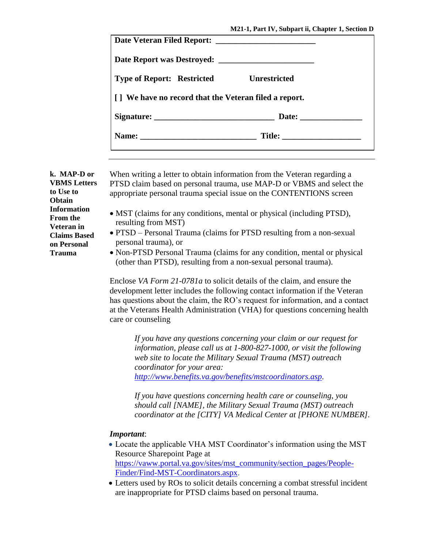| <b>Type of Report: Restricted Unrestricted</b>        |  |
|-------------------------------------------------------|--|
| [] We have no record that the Veteran filed a report. |  |
|                                                       |  |
|                                                       |  |
|                                                       |  |

**k. MAP-D or VBMS Letters to Use to Obtain Information From the Veteran in Claims Based on Personal Trauma**

When writing a letter to obtain information from the Veteran regarding a PTSD claim based on personal trauma, use MAP-D or VBMS and select the appropriate personal trauma special issue on the CONTENTIONS screen

- MST (claims for any conditions, mental or physical (including PTSD), resulting from MST)
- PTSD Personal Trauma (claims for PTSD resulting from a non-sexual personal trauma), or
- Non-PTSD Personal Trauma (claims for any condition, mental or physical (other than PTSD), resulting from a non-sexual personal trauma).

Enclose *VA Form 21-0781a* to solicit details of the claim, and ensure the development letter includes the following contact information if the Veteran has questions about the claim, the RO's request for information, and a contact at the Veterans Health Administration (VHA) for questions concerning health care or counseling

*If you have any questions concerning your claim or our request for information, please call us at 1-800-827-1000, or visit the following web site to locate the Military Sexual Trauma (MST) outreach coordinator for your area: [http://www.benefits.va.gov/benefits/mstcoordinators.asp.](http://www.benefits.va.gov/benefits/mstcoordinators.asp)* 

*If you have questions concerning health care or counseling, you should call [NAME], the Military Sexual Trauma (MST) outreach coordinator at the [CITY] VA Medical Center at [PHONE NUMBER].*

#### *Important*:

- Locate the applicable VHA MST Coordinator's information using the MST Resource Sharepoint Page at [https://vaww.portal.va.gov/sites/mst\\_community/section\\_pages/People-](https://vaww.portal.va.gov/sites/mst_community/section_pages/People-Finder/Find-MST-Coordinators.aspx)[Finder/Find-MST-Coordinators.aspx.](https://vaww.portal.va.gov/sites/mst_community/section_pages/People-Finder/Find-MST-Coordinators.aspx)
- Letters used by ROs to solicit details concerning a combat stressful incident are inappropriate for PTSD claims based on personal trauma.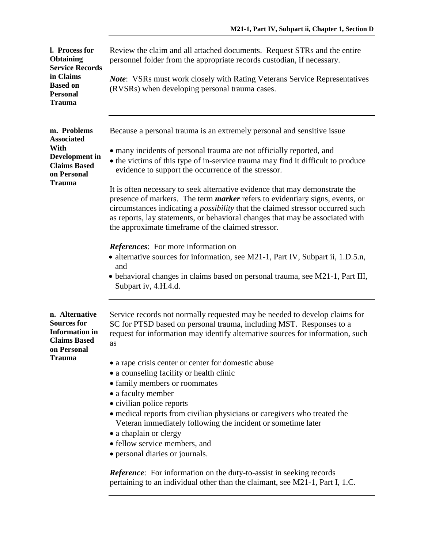| l. Process for<br><b>Obtaining</b><br><b>Service Records</b>                                        | Review the claim and all attached documents. Request STRs and the entire<br>personnel folder from the appropriate records custodian, if necessary.                                                                                                                                                                                                                                                 |
|-----------------------------------------------------------------------------------------------------|----------------------------------------------------------------------------------------------------------------------------------------------------------------------------------------------------------------------------------------------------------------------------------------------------------------------------------------------------------------------------------------------------|
| in Claims<br><b>Based on</b><br><b>Personal</b><br><b>Trauma</b>                                    | <b>Note:</b> VSRs must work closely with Rating Veterans Service Representatives<br>(RVSRs) when developing personal trauma cases.                                                                                                                                                                                                                                                                 |
| m. Problems<br><b>Associated</b>                                                                    | Because a personal trauma is an extremely personal and sensitive issue                                                                                                                                                                                                                                                                                                                             |
| With<br>Development in<br><b>Claims Based</b><br>on Personal                                        | • many incidents of personal trauma are not officially reported, and<br>• the victims of this type of in-service trauma may find it difficult to produce<br>evidence to support the occurrence of the stressor.                                                                                                                                                                                    |
| <b>Trauma</b>                                                                                       | It is often necessary to seek alternative evidence that may demonstrate the<br>presence of markers. The term <i>marker</i> refers to evidentiary signs, events, or<br>circumstances indicating a <i>possibility</i> that the claimed stressor occurred such<br>as reports, lay statements, or behavioral changes that may be associated with<br>the approximate timeframe of the claimed stressor. |
|                                                                                                     | <b>References:</b> For more information on<br>• alternative sources for information, see M21-1, Part IV, Subpart ii, 1.D.5.n,<br>and                                                                                                                                                                                                                                                               |
|                                                                                                     | • behavioral changes in claims based on personal trauma, see M21-1, Part III,<br>Subpart iv, 4.H.4.d.                                                                                                                                                                                                                                                                                              |
| n. Alternative<br><b>Sources for</b><br><b>Information</b> in<br><b>Claims Based</b><br>on Personal | Service records not normally requested may be needed to develop claims for<br>SC for PTSD based on personal trauma, including MST. Responses to a<br>request for information may identify alternative sources for information, such<br>as                                                                                                                                                          |
| <b>Trauma</b>                                                                                       | • a rape crisis center or center for domestic abuse                                                                                                                                                                                                                                                                                                                                                |
|                                                                                                     | • a counseling facility or health clinic                                                                                                                                                                                                                                                                                                                                                           |
|                                                                                                     | • family members or roommates                                                                                                                                                                                                                                                                                                                                                                      |
|                                                                                                     | • a faculty member                                                                                                                                                                                                                                                                                                                                                                                 |
|                                                                                                     | • civilian police reports<br>• medical reports from civilian physicians or caregivers who treated the                                                                                                                                                                                                                                                                                              |
|                                                                                                     | Veteran immediately following the incident or sometime later                                                                                                                                                                                                                                                                                                                                       |
|                                                                                                     | • a chaplain or clergy                                                                                                                                                                                                                                                                                                                                                                             |
|                                                                                                     | • fellow service members, and                                                                                                                                                                                                                                                                                                                                                                      |
|                                                                                                     | • personal diaries or journals.                                                                                                                                                                                                                                                                                                                                                                    |
|                                                                                                     | Reference: For information on the duty-to-assist in seeking records                                                                                                                                                                                                                                                                                                                                |

pertaining to an individual other than the claimant, see M21-1, Part I, 1.C.